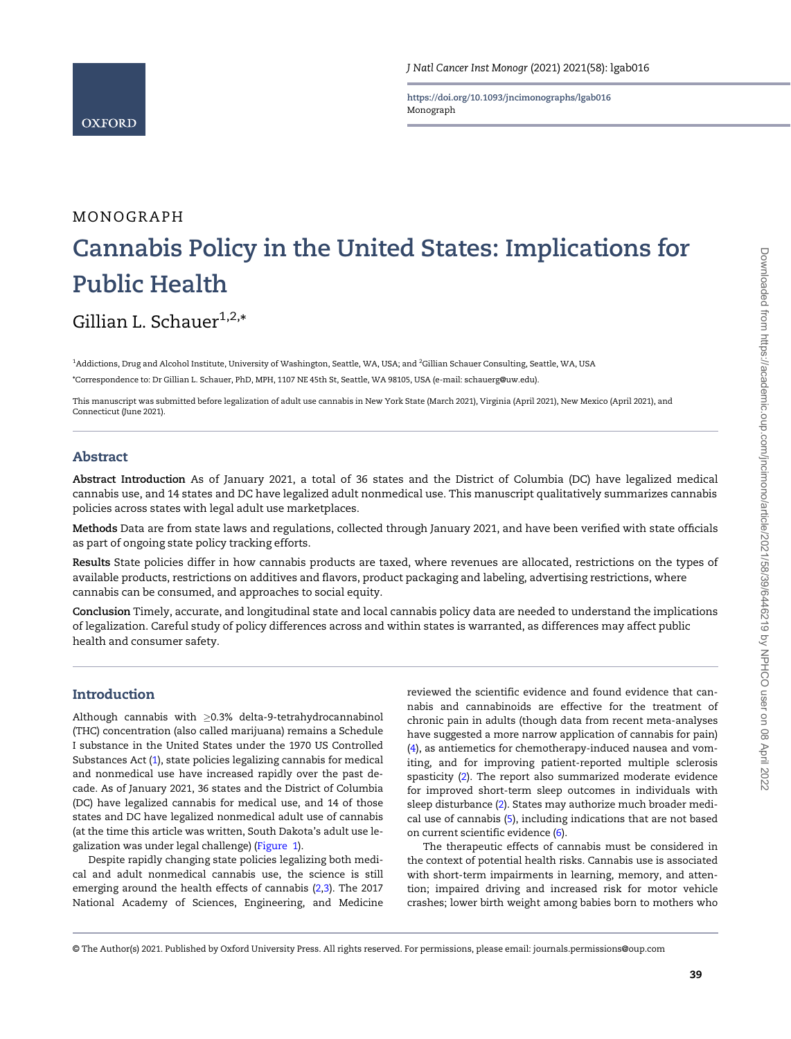https://doi.org/10.1093/jncimonographs/lgab016 Monograph

# MONOGRAPH Cannabis Policy in the United States: Implications for Public Health

Gillian L. Schauer $^{1,2,*}$ 

<sup>1</sup>Addictions, Drug and Alcohol Institute, University of Washington, Seattle, WA, USA; and <sup>2</sup>Gillian Schauer Consulting, Seattle, WA, USA \*Correspondence to: Dr Gillian L. Schauer, PhD, MPH, 1107 NE 45th St, Seattle, WA 98105, USA (e-mail: schauerg@uw.edu).

This manuscript was submitted before legalization of adult use cannabis in New York State (March 2021), Virginia (April 2021), New Mexico (April 2021), and Connecticut (June 2021).

# Abstract

Abstract Introduction As of January 2021, a total of 36 states and the District of Columbia (DC) have legalized medical cannabis use, and 14 states and DC have legalized adult nonmedical use. This manuscript qualitatively summarizes cannabis policies across states with legal adult use marketplaces.

Methods Data are from state laws and regulations, collected through January 2021, and have been verified with state officials as part of ongoing state policy tracking efforts.

Results State policies differ in how cannabis products are taxed, where revenues are allocated, restrictions on the types of available products, restrictions on additives and flavors, product packaging and labeling, advertising restrictions, where cannabis can be consumed, and approaches to social equity.

Conclusion Timely, accurate, and longitudinal state and local cannabis policy data are needed to understand the implications of legalization. Careful study of policy differences across and within states is warranted, as differences may affect public health and consumer safety.

# Introduction

Although cannabis with ≥0.3% delta-9-tetrahydrocannabinol (THC) concentration (also called marijuana) remains a Schedule I substance in the United States under the 1970 US Controlled Substances Act ([1\)](#page-12-0), state policies legalizing cannabis for medical and nonmedical use have increased rapidly over the past decade. As of January 2021, 36 states and the District of Columbia (DC) have legalized cannabis for medical use, and 14 of those states and DC have legalized nonmedical adult use of cannabis (at the time this article was written, South Dakota's adult use legalization was under legal challenge) ([Figure 1](#page-1-0)).

Despite rapidly changing state policies legalizing both medical and adult nonmedical cannabis use, the science is still emerging around the health effects of cannabis ([2,3\)](#page-12-0). The 2017 National Academy of Sciences, Engineering, and Medicine

reviewed the scientific evidence and found evidence that cannabis and cannabinoids are effective for the treatment of chronic pain in adults (though data from recent meta-analyses have suggested a more narrow application of cannabis for pain) ([4](#page-12-0)), as antiemetics for chemotherapy-induced nausea and vomiting, and for improving patient-reported multiple sclerosis spasticity [\(2](#page-12-0)). The report also summarized moderate evidence for improved short-term sleep outcomes in individuals with sleep disturbance [\(2\)](#page-12-0). States may authorize much broader medical use of cannabis ([5](#page-12-0)), including indications that are not based on current scientific evidence ([6\)](#page-12-0).

The therapeutic effects of cannabis must be considered in the context of potential health risks. Cannabis use is associated with short-term impairments in learning, memory, and attention; impaired driving and increased risk for motor vehicle crashes; lower birth weight among babies born to mothers who

<sup>©</sup> The Author(s) 2021. Published by Oxford University Press. All rights reserved. For permissions, please email: journals.permissions@oup.com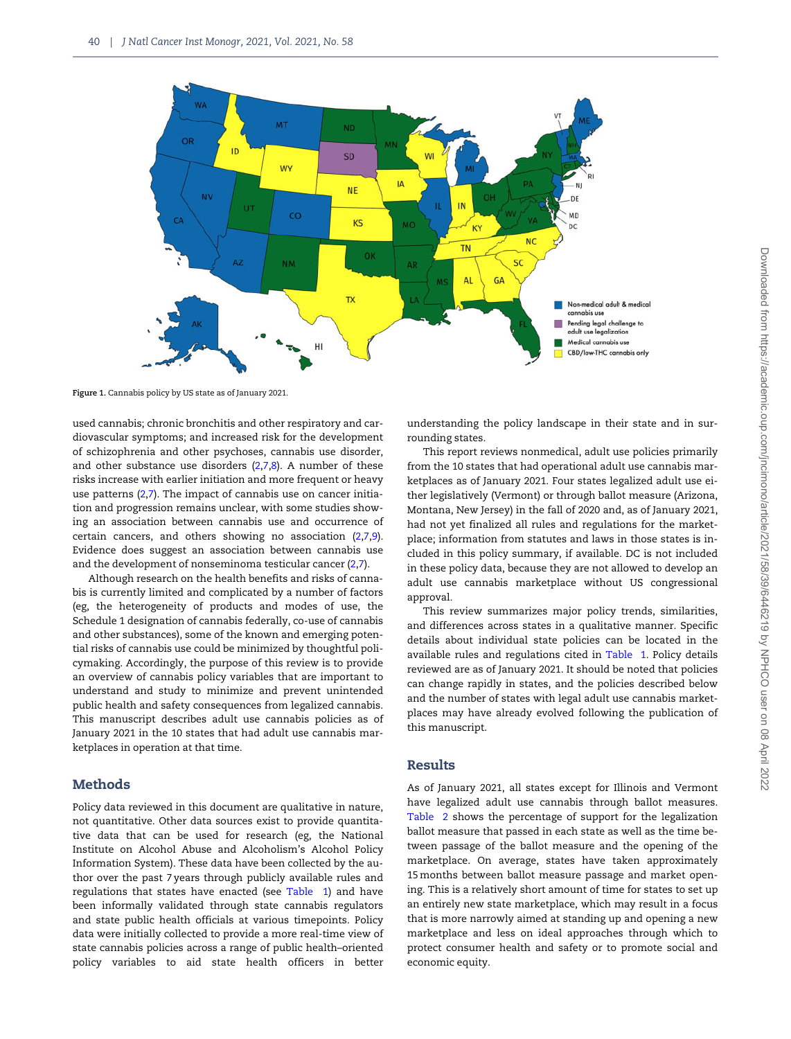<span id="page-1-0"></span>

Figure 1. Cannabis policy by US state as of January 2021.

used cannabis; chronic bronchitis and other respiratory and cardiovascular symptoms; and increased risk for the development of schizophrenia and other psychoses, cannabis use disorder, and other substance use disorders ([2,7,8](#page-12-0)). A number of these risks increase with earlier initiation and more frequent or heavy use patterns ([2,7\)](#page-12-0). The impact of cannabis use on cancer initiation and progression remains unclear, with some studies showing an association between cannabis use and occurrence of certain cancers, and others showing no association ([2,7,9](#page-12-0)). Evidence does suggest an association between cannabis use and the development of nonseminoma testicular cancer ([2,7](#page-12-0)).

Although research on the health benefits and risks of cannabis is currently limited and complicated by a number of factors (eg, the heterogeneity of products and modes of use, the Schedule 1 designation of cannabis federally, co-use of cannabis and other substances), some of the known and emerging potential risks of cannabis use could be minimized by thoughtful policymaking. Accordingly, the purpose of this review is to provide an overview of cannabis policy variables that are important to understand and study to minimize and prevent unintended public health and safety consequences from legalized cannabis. This manuscript describes adult use cannabis policies as of January 2021 in the 10 states that had adult use cannabis marketplaces in operation at that time.

# **Methods**

Policy data reviewed in this document are qualitative in nature, not quantitative. Other data sources exist to provide quantitative data that can be used for research (eg, the National Institute on Alcohol Abuse and Alcoholism's Alcohol Policy Information System). These data have been collected by the author over the past 7 years through publicly available rules and regulations that states have enacted (see [Table 1](#page-2-0)) and have been informally validated through state cannabis regulators and state public health officials at various timepoints. Policy data were initially collected to provide a more real-time view of state cannabis policies across a range of public health–oriented policy variables to aid state health officers in better

understanding the policy landscape in their state and in surrounding states.

This report reviews nonmedical, adult use policies primarily from the 10 states that had operational adult use cannabis marketplaces as of January 2021. Four states legalized adult use either legislatively (Vermont) or through ballot measure (Arizona, Montana, New Jersey) in the fall of 2020 and, as of January 2021, had not yet finalized all rules and regulations for the marketplace; information from statutes and laws in those states is included in this policy summary, if available. DC is not included in these policy data, because they are not allowed to develop an adult use cannabis marketplace without US congressional approval.

This review summarizes major policy trends, similarities, and differences across states in a qualitative manner. Specific details about individual state policies can be located in the available rules and regulations cited in [Table 1.](#page-2-0) Policy details reviewed are as of January 2021. It should be noted that policies can change rapidly in states, and the policies described below and the number of states with legal adult use cannabis marketplaces may have already evolved following the publication of this manuscript.

# Results

As of January 2021, all states except for Illinois and Vermont have legalized adult use cannabis through ballot measures. [Table 2](#page-3-0) shows the percentage of support for the legalization ballot measure that passed in each state as well as the time between passage of the ballot measure and the opening of the marketplace. On average, states have taken approximately 15 months between ballot measure passage and market opening. This is a relatively short amount of time for states to set up an entirely new state marketplace, which may result in a focus that is more narrowly aimed at standing up and opening a new marketplace and less on ideal approaches through which to protect consumer health and safety or to promote social and economic equity.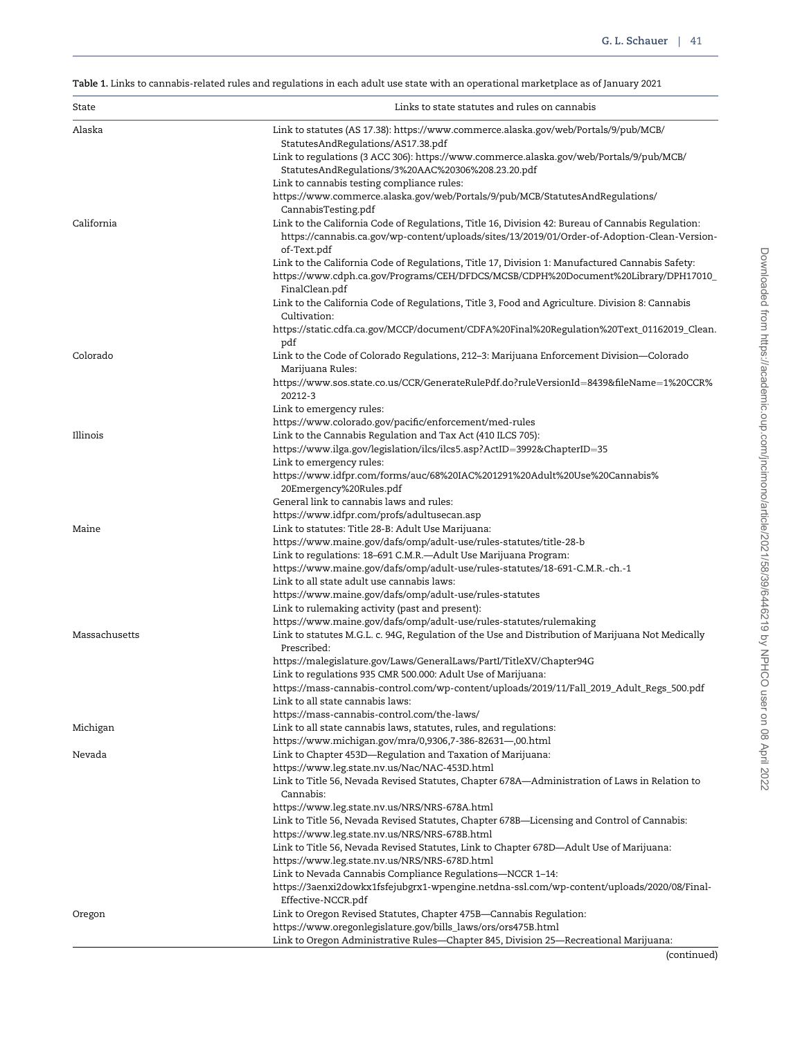<span id="page-2-0"></span>Table 1. Links to cannabis-related rules and regulations in each adult use state with an operational marketplace as of January 2021

| State         | Links to state statutes and rules on cannabis                                                                                                                                                                    |
|---------------|------------------------------------------------------------------------------------------------------------------------------------------------------------------------------------------------------------------|
| Alaska        | Link to statutes (AS 17.38): https://www.commerce.alaska.gov/web/Portals/9/pub/MCB/                                                                                                                              |
|               | StatutesAndRegulations/AS17.38.pdf                                                                                                                                                                               |
|               | Link to regulations (3 ACC 306): https://www.commerce.alaska.gov/web/Portals/9/pub/MCB/<br>StatutesAndRegulations/3%20AAC%20306%208.23.20.pdf                                                                    |
|               | Link to cannabis testing compliance rules:                                                                                                                                                                       |
|               | https://www.commerce.alaska.gov/web/Portals/9/pub/MCB/StatutesAndRegulations/                                                                                                                                    |
|               | CannabisTesting.pdf                                                                                                                                                                                              |
| California    | Link to the California Code of Regulations, Title 16, Division 42: Bureau of Cannabis Regulation:<br>https://cannabis.ca.gov/wp-content/uploads/sites/13/2019/01/Order-of-Adoption-Clean-Version-<br>of-Text.pdf |
|               | Link to the California Code of Regulations, Title 17, Division 1: Manufactured Cannabis Safety:                                                                                                                  |
|               | https://www.cdph.ca.gov/Programs/CEH/DFDCS/MCSB/CDPH%20Document%20Library/DPH17010_<br>FinalClean.pdf                                                                                                            |
|               | Link to the California Code of Regulations, Title 3, Food and Agriculture. Division 8: Cannabis                                                                                                                  |
|               | Cultivation:<br>https://static.cdfa.ca.gov/MCCP/document/CDFA%20Final%20Regulation%20Text_01162019_Clean.                                                                                                        |
|               | pdf                                                                                                                                                                                                              |
| Colorado      | Link to the Code of Colorado Regulations, 212–3: Marijuana Enforcement Division—Colorado<br>Marijuana Rules:                                                                                                     |
|               | https://www.sos.state.co.us/CCR/GenerateRulePdf.do?ruleVersionId=8439&fileName=1%20CCR%<br>20212-3                                                                                                               |
|               | Link to emergency rules:                                                                                                                                                                                         |
|               | https://www.colorado.gov/pacific/enforcement/med-rules                                                                                                                                                           |
| Illinois      | Link to the Cannabis Regulation and Tax Act (410 ILCS 705):                                                                                                                                                      |
|               | https://www.ilga.gov/legislation/ilcs/ilcs5.asp?ActID=3992&ChapterID=35<br>Link to emergency rules:                                                                                                              |
|               | https://www.idfpr.com/forms/auc/68%20IAC%201291%20Adult%20Use%20Cannabis%                                                                                                                                        |
|               | 20Emergency%20Rules.pdf                                                                                                                                                                                          |
|               | General link to cannabis laws and rules:                                                                                                                                                                         |
|               | https://www.idfpr.com/profs/adultusecan.asp                                                                                                                                                                      |
| Maine         | Link to statutes: Title 28-B: Adult Use Marijuana:<br>https://www.maine.gov/dafs/omp/adult-use/rules-statutes/title-28-b                                                                                         |
|               | Link to regulations: 18-691 C.M.R.-Adult Use Marijuana Program:                                                                                                                                                  |
|               | https://www.maine.gov/dafs/omp/adult-use/rules-statutes/18-691-C.M.R.-ch.-1                                                                                                                                      |
|               | Link to all state adult use cannabis laws:                                                                                                                                                                       |
|               | https://www.maine.gov/dafs/omp/adult-use/rules-statutes                                                                                                                                                          |
|               | Link to rulemaking activity (past and present):<br>https://www.maine.gov/dafs/omp/adult-use/rules-statutes/rulemaking                                                                                            |
| Massachusetts | Link to statutes M.G.L. c. 94G, Regulation of the Use and Distribution of Marijuana Not Medically                                                                                                                |
|               | Prescribed:                                                                                                                                                                                                      |
|               | https://malegislature.gov/Laws/GeneralLaws/PartI/TitleXV/Chapter94G                                                                                                                                              |
|               | Link to regulations 935 CMR 500.000: Adult Use of Marijuana:                                                                                                                                                     |
|               | https://mass-cannabis-control.com/wp-content/uploads/2019/11/Fall_2019_Adult_Regs_500.pdf<br>Link to all state cannabis laws:                                                                                    |
|               | https://mass-cannabis-control.com/the-laws/                                                                                                                                                                      |
| Michigan      | Link to all state cannabis laws, statutes, rules, and regulations:                                                                                                                                               |
|               | https://www.michigan.gov/mra/0,9306,7-386-82631-,00.html                                                                                                                                                         |
| Nevada        | Link to Chapter 453D-Regulation and Taxation of Marijuana:                                                                                                                                                       |
|               | https://www.leg.state.nv.us/Nac/NAC-453D.html<br>Link to Title 56, Nevada Revised Statutes, Chapter 678A—Administration of Laws in Relation to                                                                   |
|               | Cannabis:                                                                                                                                                                                                        |
|               | https://www.leg.state.nv.us/NRS/NRS-678A.html                                                                                                                                                                    |
|               | Link to Title 56, Nevada Revised Statutes, Chapter 678B-Licensing and Control of Cannabis:                                                                                                                       |
|               | https://www.leg.state.nv.us/NRS/NRS-678B.html                                                                                                                                                                    |
|               | Link to Title 56, Nevada Revised Statutes, Link to Chapter 678D-Adult Use of Marijuana:<br>https://www.leg.state.nv.us/NRS/NRS-678D.html                                                                         |
|               | Link to Nevada Cannabis Compliance Regulations-NCCR 1-14:                                                                                                                                                        |
|               | https://3aenxi2dowkx1fsfejubgrx1-wpengine.netdna-ssl.com/wp-content/uploads/2020/08/Final-<br>Effective-NCCR.pdf                                                                                                 |
| Oregon        | Link to Oregon Revised Statutes, Chapter 475B-Cannabis Regulation:                                                                                                                                               |
|               | https://www.oregonlegislature.gov/bills_laws/ors/ors475B.html                                                                                                                                                    |
|               | Link to Oregon Administrative Rules-Chapter 845, Division 25-Recreational Marijuana:                                                                                                                             |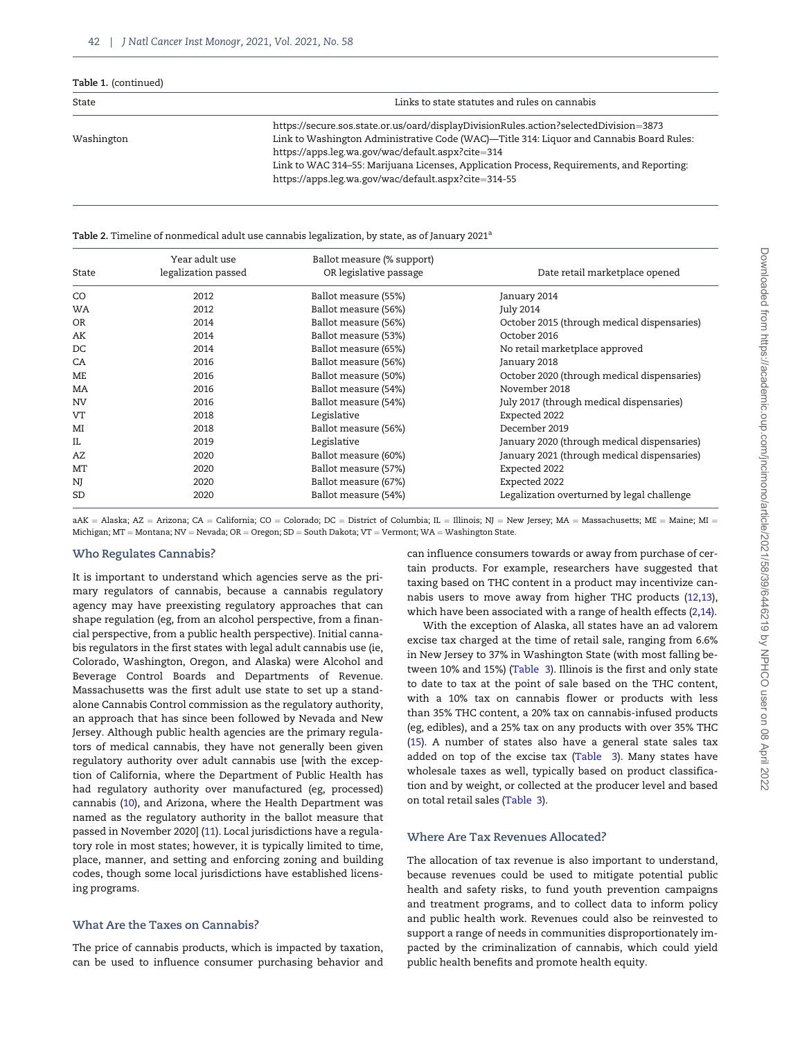<span id="page-3-0"></span>

| Table 1. (continued) |                                                                                           |
|----------------------|-------------------------------------------------------------------------------------------|
| State                | Links to state statutes and rules on cannabis                                             |
|                      | https://secure.sos.state.or.us/oard/displayDivisionRules.action?selectedDivision=3873     |
| Washington           | Link to Washington Administrative Code (WAC)—Title 314: Liquor and Cannabis Board Rules:  |
|                      | https://apps.leg.wa.gov/wac/default.aspx?cite=314                                         |
|                      | Link to WAC 314-55: Marijuana Licenses, Application Process, Requirements, and Reporting: |
|                      | https://apps.leg.wa.gov/wac/default.aspx?cite=314-55                                      |
|                      |                                                                                           |

Table 2. Timeline of nonmedical adult use cannabis legalization, by state, as of January 2021<sup>a</sup>

| State     | Year adult use<br>legalization passed | Ballot measure (% support)<br>OR legislative passage | Date retail marketplace opened              |
|-----------|---------------------------------------|------------------------------------------------------|---------------------------------------------|
| CO        | 2012                                  | Ballot measure (55%)                                 | January 2014                                |
| WA        | 2012                                  | Ballot measure (56%)                                 | July 2014                                   |
| 0R        | 2014                                  | Ballot measure (56%)                                 | October 2015 (through medical dispensaries) |
| AK        | 2014                                  | Ballot measure (53%)                                 | October 2016                                |
| DC        | 2014                                  | Ballot measure (65%)                                 | No retail marketplace approved              |
| CA        | 2016                                  | Ballot measure (56%)                                 | January 2018                                |
| ME        | 2016                                  | Ballot measure (50%)                                 | October 2020 (through medical dispensaries) |
| MA        | 2016                                  | Ballot measure (54%)                                 | November 2018                               |
| <b>NV</b> | 2016                                  | Ballot measure (54%)                                 | July 2017 (through medical dispensaries)    |
| VT        | 2018                                  | Legislative                                          | Expected 2022                               |
| MI        | 2018                                  | Ballot measure (56%)                                 | December 2019                               |
| IL        | 2019                                  | Legislative                                          | January 2020 (through medical dispensaries) |
| AZ        | 2020                                  | Ballot measure (60%)                                 | January 2021 (through medical dispensaries) |
| MT        | 2020                                  | Ballot measure (57%)                                 | Expected 2022                               |
| NJ        | 2020                                  | Ballot measure (67%)                                 | Expected 2022                               |
| SD        | 2020                                  | Ballot measure (54%)                                 | Legalization overturned by legal challenge  |

 $aAK = Alaska$ ;  $AZ = Arizona$ ;  $CA = California$ ;  $CO = Colorado$ ;  $DC = District of Columbia$ ;  $IL = Illinois$ ;  $NJ = New Jersey$ ;  $MA = Massachusetts$ ;  $ME = Maine$ ;  $MI = NQ$ Michigan; MT = Montana; NV = Nevada; OR = Oregon; SD = South Dakota; VT = Vermont; WA = Washington State.

## Who Regulates Cannabis?

It is important to understand which agencies serve as the primary regulators of cannabis, because a cannabis regulatory agency may have preexisting regulatory approaches that can shape regulation (eg, from an alcohol perspective, from a financial perspective, from a public health perspective). Initial cannabis regulators in the first states with legal adult cannabis use (ie, Colorado, Washington, Oregon, and Alaska) were Alcohol and Beverage Control Boards and Departments of Revenue. Massachusetts was the first adult use state to set up a standalone Cannabis Control commission as the regulatory authority, an approach that has since been followed by Nevada and New Jersey. Although public health agencies are the primary regulators of medical cannabis, they have not generally been given regulatory authority over adult cannabis use [with the exception of California, where the Department of Public Health has had regulatory authority over manufactured (eg, processed) cannabis ([10](#page-12-0)), and Arizona, where the Health Department was named as the regulatory authority in the ballot measure that passed in November 2020] ([11](#page-12-0)). Local jurisdictions have a regulatory role in most states; however, it is typically limited to time, place, manner, and setting and enforcing zoning and building codes, though some local jurisdictions have established licensing programs.

## What Are the Taxes on Cannabis?

The price of cannabis products, which is impacted by taxation, can be used to influence consumer purchasing behavior and

can influence consumers towards or away from purchase of certain products. For example, researchers have suggested that taxing based on THC content in a product may incentivize cannabis users to move away from higher THC products ([12,13](#page-12-0)), which have been associated with a range of health effects [\(2,14\)](#page-12-0).

With the exception of Alaska, all states have an ad valorem excise tax charged at the time of retail sale, ranging from 6.6% in New Jersey to 37% in Washington State (with most falling be-tween 10% and 15%) ([Table 3\)](#page-4-0). Illinois is the first and only state to date to tax at the point of sale based on the THC content, with a 10% tax on cannabis flower or products with less than 35% THC content, a 20% tax on cannabis-infused products (eg, edibles), and a 25% tax on any products with over 35% THC ([15](#page-12-0)). A number of states also have a general state sales tax added on top of the excise tax ([Table 3\)](#page-4-0). Many states have wholesale taxes as well, typically based on product classification and by weight, or collected at the producer level and based on total retail sales [\(Table 3](#page-4-0)).

### Where Are Tax Revenues Allocated?

The allocation of tax revenue is also important to understand, because revenues could be used to mitigate potential public health and safety risks, to fund youth prevention campaigns and treatment programs, and to collect data to inform policy and public health work. Revenues could also be reinvested to support a range of needs in communities disproportionately impacted by the criminalization of cannabis, which could yield public health benefits and promote health equity.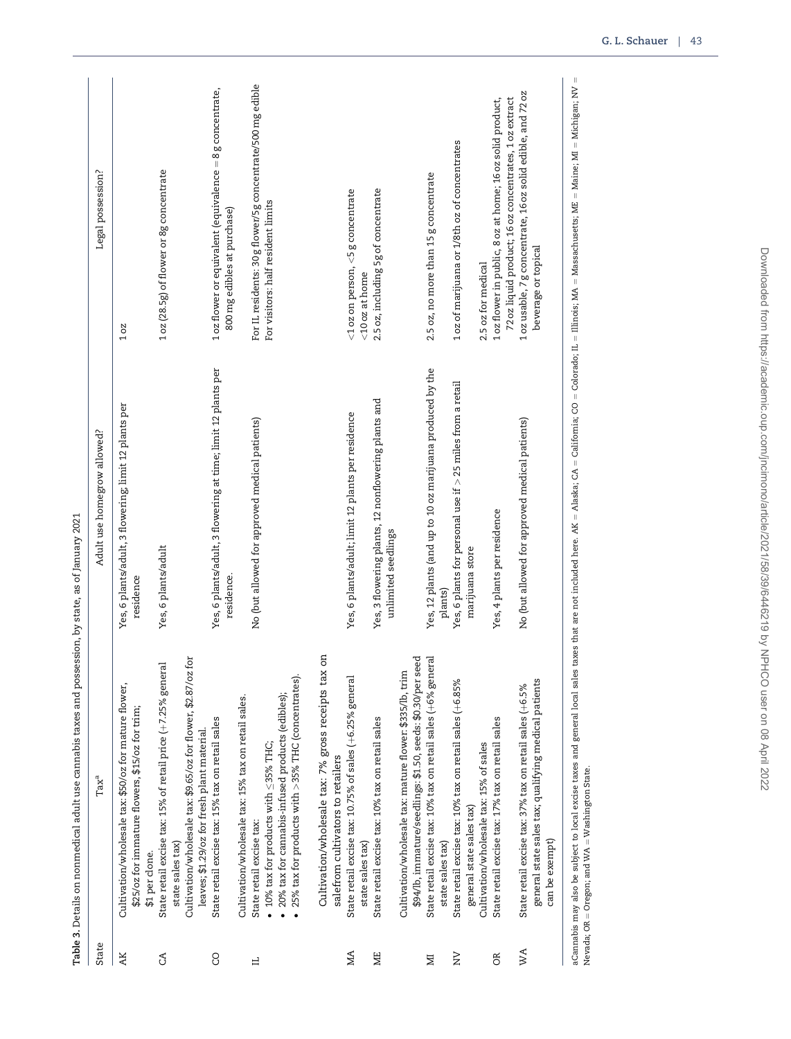<span id="page-4-0"></span>

| State<br>AK   | $\operatorname{Tax}^{\text{a}}$                                                                           | Adult use homegrow allowed?                                                 | Legal possession?                                                                                                   |
|---------------|-----------------------------------------------------------------------------------------------------------|-----------------------------------------------------------------------------|---------------------------------------------------------------------------------------------------------------------|
|               | Cultivation/wholesale tax: \$50/oz for mature flower,<br>\$25/oz for immature flowers, \$15/oz for trim;  | Yes, 6 plants/adult, 3 flowering; limit 12 plants per<br>residence          | 10Z                                                                                                                 |
| $\mathcal{L}$ | State retail excise tax: 15% of retail price (+7.25% general<br>\$1 per clone.                            | Yes, 6 plants/adult                                                         | 1oz (28.5g) of flower or 8g concentrate                                                                             |
|               | $_{\rm fof}$<br>Cultivation/wholesale tax: \$9.65/oz for flower, \$2.87/oz<br>state sales tax)            |                                                                             |                                                                                                                     |
| <b>CO</b>     | State retail excise tax: 15% tax on retail sales<br>leaves; \$1.29/oz for fresh plant material.           | Yes, 6 plants/adult, 3 flowering at time; limit 12 plants per<br>residence. | 1 oz flower or equivalent (equivalence = 8 g concentrate,<br>800 mg edibles at purchase)                            |
|               | Cultivation/wholesale tax: 15% tax on retail sales.                                                       |                                                                             |                                                                                                                     |
| ᆸ             | State retail excise tax:                                                                                  | No (but allowed for approved medical patients)                              | For IL residents: 30 g flower/5g concentrate/500 mg edible                                                          |
|               | • 20% tax for cannabis-infused products (edibles);<br>$\bullet$ 10% tax for products with $\leq$ 35% THC; |                                                                             | For visitors: half resident limits                                                                                  |
|               | 25% tax for products with >35% THC (concentrates).                                                        |                                                                             |                                                                                                                     |
|               | S<br>Cultivation/wholesale tax: 7% gross receipts tax<br>salefrom cultivators to retailers                |                                                                             |                                                                                                                     |
| ЙŲ            | State retail excise tax: 10.75% of sales (+6.25% general                                                  | Yes, 6 plants/adult; limit 12 plants per residence                          | $<$ 1 oz on person, $<$ 5 g concentrate                                                                             |
|               | state sales tax)                                                                                          |                                                                             | <10oz at home                                                                                                       |
| <b>NE</b>     | State retail excise tax: 10% tax on retail sales                                                          | Yes, 3 flowering plants, 12 nonflowering plants and<br>unlimited seedlings  | 2.5 oz, including 5g of concentrate                                                                                 |
|               | Cultivation/wholesale tax: mature flower: \$335/lb, trim                                                  |                                                                             |                                                                                                                     |
|               | \$94/lb, immature/seedlings: \$1.50, seeds: \$0.30/per seed                                               |                                                                             |                                                                                                                     |
| М             | State retail excise tax: 10% tax on retail sales (+6% general                                             | Yes, 12 plants (and up to 10 oz marijuana produced by the                   | 2.5 oz, no more than 15 g concentrate                                                                               |
|               | state sales tax)                                                                                          | plants)                                                                     |                                                                                                                     |
| $\geq$        | State retail excise tax: 10% tax on retail sales (+6.85%                                                  | Yes, 6 plants for personal use if $>$ 25 miles from a retail                | 1oz of marijuana or 1/8th oz of concentrates                                                                        |
|               | general state sales tax)                                                                                  | marijuana store                                                             |                                                                                                                     |
|               | Cultivation/wholesale tax: 15% of sales                                                                   |                                                                             | 2.5 oz for medical                                                                                                  |
| OR.           | State retail excise tax: 17% tax on retail sales                                                          | Yes, 4 plants per residence                                                 | 72 oz liquid product; 16 oz concentrates, 1 oz extract<br>1 oz flower in public, 8 oz at home; 16 oz solid product, |
| WA            | State retail excise tax: 37% tax on retail sales (+6.5%                                                   | No (but allowed for approved medical patients)                              | 1 oz usable, 7 g concentrate, 16 oz solid edible, and 72 oz                                                         |
|               | general state sales tax; qualifying medical patients<br>can be exempt)                                    |                                                                             | beverage or topical                                                                                                 |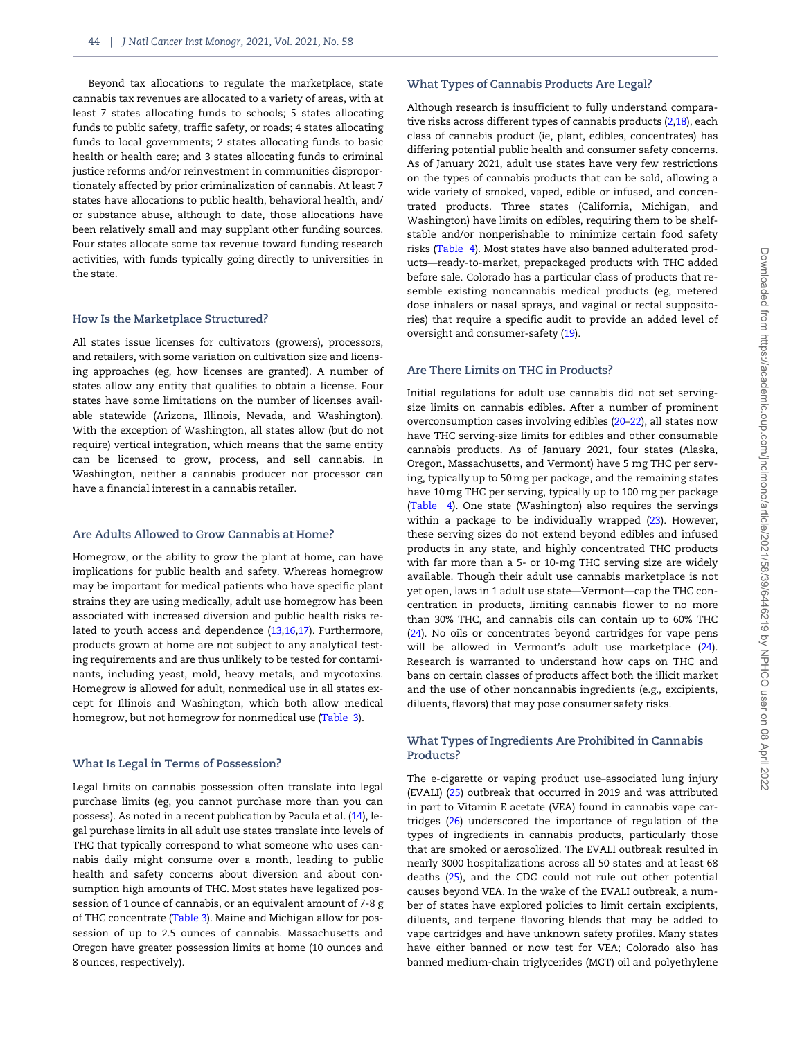Beyond tax allocations to regulate the marketplace, state cannabis tax revenues are allocated to a variety of areas, with at least 7 states allocating funds to schools; 5 states allocating funds to public safety, traffic safety, or roads; 4 states allocating funds to local governments; 2 states allocating funds to basic health or health care; and 3 states allocating funds to criminal justice reforms and/or reinvestment in communities disproportionately affected by prior criminalization of cannabis. At least 7 states have allocations to public health, behavioral health, and/ or substance abuse, although to date, those allocations have been relatively small and may supplant other funding sources. Four states allocate some tax revenue toward funding research activities, with funds typically going directly to universities in the state.

## How Is the Marketplace Structured?

All states issue licenses for cultivators (growers), processors, and retailers, with some variation on cultivation size and licensing approaches (eg, how licenses are granted). A number of states allow any entity that qualifies to obtain a license. Four states have some limitations on the number of licenses available statewide (Arizona, Illinois, Nevada, and Washington). With the exception of Washington, all states allow (but do not require) vertical integration, which means that the same entity can be licensed to grow, process, and sell cannabis. In Washington, neither a cannabis producer nor processor can have a financial interest in a cannabis retailer.

# Are Adults Allowed to Grow Cannabis at Home?

Homegrow, or the ability to grow the plant at home, can have implications for public health and safety. Whereas homegrow may be important for medical patients who have specific plant strains they are using medically, adult use homegrow has been associated with increased diversion and public health risks related to youth access and dependence ([13,16](#page-12-0),[17\)](#page-12-0). Furthermore, products grown at home are not subject to any analytical testing requirements and are thus unlikely to be tested for contaminants, including yeast, mold, heavy metals, and mycotoxins. Homegrow is allowed for adult, nonmedical use in all states except for Illinois and Washington, which both allow medical homegrow, but not homegrow for nonmedical use ([Table 3](#page-4-0)).

## What Is Legal in Terms of Possession?

Legal limits on cannabis possession often translate into legal purchase limits (eg, you cannot purchase more than you can possess). As noted in a recent publication by Pacula et al. ([14\)](#page-12-0), legal purchase limits in all adult use states translate into levels of THC that typically correspond to what someone who uses cannabis daily might consume over a month, leading to public health and safety concerns about diversion and about consumption high amounts of THC. Most states have legalized possession of 1 ounce of cannabis, or an equivalent amount of 7-8 g of THC concentrate ([Table 3\)](#page-4-0). Maine and Michigan allow for possession of up to 2.5 ounces of cannabis. Massachusetts and Oregon have greater possession limits at home (10 ounces and 8 ounces, respectively).

#### What Types of Cannabis Products Are Legal?

Although research is insufficient to fully understand comparative risks across different types of cannabis products ([2,18](#page-12-0)), each class of cannabis product (ie, plant, edibles, concentrates) has differing potential public health and consumer safety concerns. As of January 2021, adult use states have very few restrictions on the types of cannabis products that can be sold, allowing a wide variety of smoked, vaped, edible or infused, and concentrated products. Three states (California, Michigan, and Washington) have limits on edibles, requiring them to be shelfstable and/or nonperishable to minimize certain food safety risks ([Table 4\)](#page-6-0). Most states have also banned adulterated products—ready-to-market, prepackaged products with THC added before sale. Colorado has a particular class of products that resemble existing noncannabis medical products (eg, metered dose inhalers or nasal sprays, and vaginal or rectal suppositories) that require a specific audit to provide an added level of oversight and consumer-safety ([19\)](#page-12-0).

#### Are There Limits on THC in Products?

Initial regulations for adult use cannabis did not set servingsize limits on cannabis edibles. After a number of prominent overconsumption cases involving edibles ([20–22\)](#page-12-0), all states now have THC serving-size limits for edibles and other consumable cannabis products. As of January 2021, four states (Alaska, Oregon, Massachusetts, and Vermont) have 5 mg THC per serving, typically up to 50 mg per package, and the remaining states have 10 mg THC per serving, typically up to 100 mg per package ([Table 4\)](#page-6-0). One state (Washington) also requires the servings within a package to be individually wrapped [\(23](#page-12-0)). However, these serving sizes do not extend beyond edibles and infused products in any state, and highly concentrated THC products with far more than a 5- or 10-mg THC serving size are widely available. Though their adult use cannabis marketplace is not yet open, laws in 1 adult use state—Vermont—cap the THC concentration in products, limiting cannabis flower to no more than 30% THC, and cannabis oils can contain up to 60% THC ([24](#page-12-0)). No oils or concentrates beyond cartridges for vape pens will be allowed in Vermont's adult use marketplace ([24](#page-12-0)). Research is warranted to understand how caps on THC and bans on certain classes of products affect both the illicit market and the use of other noncannabis ingredients (e.g., excipients, diluents, flavors) that may pose consumer safety risks.

## What Types of Ingredients Are Prohibited in Cannabis Products?

The e-cigarette or vaping product use–associated lung injury (EVALI) [\(25\)](#page-12-0) outbreak that occurred in 2019 and was attributed in part to Vitamin E acetate (VEA) found in cannabis vape cartridges [\(26](#page-12-0)) underscored the importance of regulation of the types of ingredients in cannabis products, particularly those that are smoked or aerosolized. The EVALI outbreak resulted in nearly 3000 hospitalizations across all 50 states and at least 68 deaths ([25](#page-12-0)), and the CDC could not rule out other potential causes beyond VEA. In the wake of the EVALI outbreak, a number of states have explored policies to limit certain excipients, diluents, and terpene flavoring blends that may be added to vape cartridges and have unknown safety profiles. Many states have either banned or now test for VEA; Colorado also has banned medium-chain triglycerides (MCT) oil and polyethylene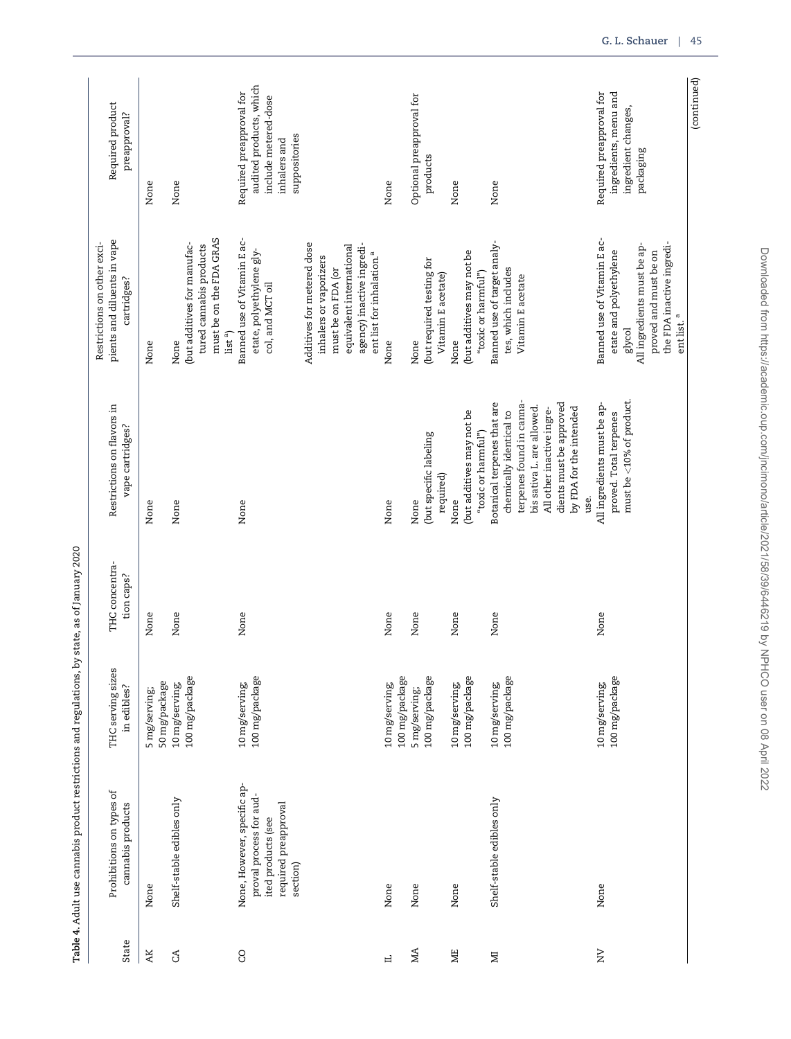<span id="page-6-0"></span>

| (continued)                                                                 |                                                                                                                                                                              |                                                                                   |                              |                                                  |                                                                              |                      |
|-----------------------------------------------------------------------------|------------------------------------------------------------------------------------------------------------------------------------------------------------------------------|-----------------------------------------------------------------------------------|------------------------------|--------------------------------------------------|------------------------------------------------------------------------------|----------------------|
|                                                                             | the FDA inactive ingredi-<br>ent list. <sup>a</sup>                                                                                                                          |                                                                                   |                              |                                                  |                                                                              |                      |
| ingredient changes,<br>packaging                                            | All ingredients must be ap-<br>proved and must be on<br>glycol                                                                                                               | must be <10% of product.                                                          |                              |                                                  |                                                                              |                      |
| ingredients, menu and<br>Required preapproval for                           | Banned use of Vitamin E ac-<br>etate and polyethylene                                                                                                                        | All ingredients must be ap-<br>proved. Total terpenes<br>use.                     | None                         | 100 mg/package<br>10 mg/serving;                 | None                                                                         | $\geq$               |
|                                                                             |                                                                                                                                                                              | dients must be approved<br>by FDA for the intended<br>All other inactive ingre-   |                              |                                                  |                                                                              |                      |
|                                                                             | tes, which includes<br>Vitamin E acetate                                                                                                                                     | terpenes found in canna-<br>bis sativa L. are allowed.<br>chemically identical to |                              | 100 mg/package                                   |                                                                              |                      |
| None                                                                        | Banned use of target analy-<br>"toxic or harmful")                                                                                                                           | Botanical terpenes that are<br>"toxic or harmful")                                | None                         | 10 mg/serving;                                   | Shelf-stable edibles only                                                    | Σ                    |
| None                                                                        | (but additives may not be<br>None                                                                                                                                            | (but additives may not be<br>None                                                 | None                         | 100 mg/package<br>10 mg/serving;                 | None                                                                         | ЖE                   |
| products                                                                    | (but required testing for<br>Vitamin E acetate)                                                                                                                              | (but specific labeling<br>required)                                               |                              | 100 mg/package                                   |                                                                              |                      |
| Optional preapproval for                                                    | None                                                                                                                                                                         | None                                                                              | None                         | 5 mg/serving;                                    | None                                                                         | MA                   |
| None                                                                        | None                                                                                                                                                                         | None                                                                              | None                         | 100 mg/package<br>10 mg/serving;                 | None                                                                         | ц                    |
|                                                                             | Additives for metered dose<br>agency) inactive ingredi-<br>equivalent international<br>ent list for inhalation. <sup>a</sup><br>inhalers or vaporizers<br>must be on FDA (or |                                                                                   |                              |                                                  |                                                                              |                      |
| suppositories<br>inhalers and                                               |                                                                                                                                                                              |                                                                                   |                              |                                                  | required preapproval<br>section)                                             |                      |
| audited products, which<br>Required preapproval for<br>include metered-dose | Banned use of Vitamin E ac-<br>etate, polyethylene gly-<br>col, and MCT oil                                                                                                  | None                                                                              | None                         | 100 mg/package<br>10 mg/serving;                 | None, However, specific ap-<br>proval process for aud-<br>ited products (see | <b>CO</b>            |
|                                                                             | must be on the FDA GRAS<br>(but additives for manufac-<br>tured cannabis products<br>list <sup>a</sup>                                                                       |                                                                                   |                              | 100 mg/package                                   |                                                                              |                      |
| None<br>None                                                                | None<br>None                                                                                                                                                                 | None<br>None                                                                      | None<br>None                 | 50 mg/package<br>10 mg/serving;<br>5 mg/serving; | Shelf-stable edibles only<br>None                                            | $\mathfrak{S}$<br>AK |
| Required product<br>preapproval?                                            | pients and diluents in vape<br>Restrictions on other exci-<br>cartridges?                                                                                                    | Restrictions on flavors in<br>vape cartridges?                                    | THC concentra-<br>tion caps? | THC serving sizes<br>in edibles?                 | Prohibitions on types of<br>cannabis products                                | State                |
|                                                                             |                                                                                                                                                                              |                                                                                   |                              |                                                  |                                                                              |                      |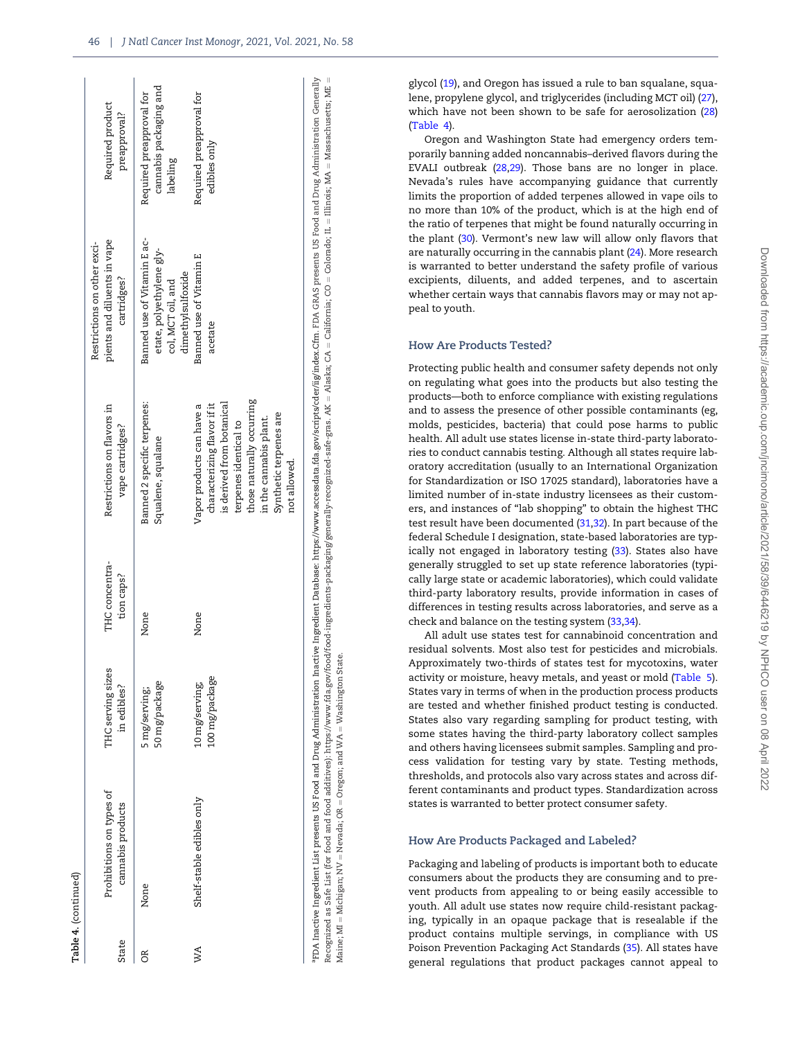| State | Prohibitions on types of<br>cannabis products | THC serving sizes<br>in edibles? | THC concentra-<br>tion caps? | Restrictions on flavors in<br>vape cartridges?                                                                                                                                                                  | pients and diluents in vape<br>Restrictions on other exci-<br>cartridges?                         | Required product<br>preapproval?                               |
|-------|-----------------------------------------------|----------------------------------|------------------------------|-----------------------------------------------------------------------------------------------------------------------------------------------------------------------------------------------------------------|---------------------------------------------------------------------------------------------------|----------------------------------------------------------------|
| õŘ    | None                                          | 50 mg/package<br>5 mg/serving;   | None                         | Banned 2 specific terpenes:<br>Squalene, squalane                                                                                                                                                               | Banned use of Vitamin E ac-<br>etate, polyethylene gly-<br>dimethylsulfoxide<br>col, MCT oil, and | cannabis packaging and<br>Required preapproval for<br>labeling |
| WA    | Shelf-stable edibles only                     | 100 mg/package<br>10 mg/serving; | None                         | those naturally occurring<br>is derived from botanical<br>characterizing flavor if it<br>Japor products can have a<br>Synthetic terpenes are<br>in the cannabis plant.<br>terpenes identical to<br>not allowed. | Banned use of Vitamin E<br>acetate                                                                | Required preapproval for<br>edibles only                       |

Table 4.

(continued)

FDA Inactive Ingredient List presents US Food and Drug Administration Inactive Ingredient Database: https://www.accessdata.fda.gov/scripts/cder/iig/index.Cfm. FDA GRAS presents US Food and Drug Administration Generally aFDA Inactive Ingredient List presents US Food and Drug Administration Inactive Ingredient Database: <https://www.accessdata.fda.gov/scripts/cder/iig/index.Cfm>. FDA GRAS presents US Food and Drug Administration Generally Recognized as Safe List (for food and food additives): <https://www.fda.gov/food/food-ingredients-packaging/generally-recognized-safe-gras>. AK = Alaska; CA = California; CO = Colorado; IL = Illinois; MA = Massachusetts; ME Recognized as Safe List (for food and food additives): https://www.fda.gov/food-ingredients-packaging/generally-recognized-safe-gras. AK = Alaska; CA = California; CO = Colorado; IL= Illinois; MA = Massachusetts; ME Maine; MI  $=$  Michigan; NV  $=$  Nevada; OR  $=$  Oregon; and WA  $=$  Washington State. Maine; MI = Michigan; NV = Nevada; OR = Oregon; and WA = Washington State glycol ([19\)](#page-12-0), and Oregon has issued a rule to ban squalane, squalene, propylene glycol, and triglycerides (including MCT oil) ([27](#page-12-0)), which have not been shown to be safe for aerosolization ([28](#page-12-0)) [\(Table 4](#page-6-0)).

Oregon and Washington State had emergency orders temporarily banning added noncannabis–derived flavors during the EVALI outbreak [\(28,29](#page-12-0)). Those bans are no longer in place. Nevada's rules have accompanying guidance that currently limits the proportion of added terpenes allowed in vape oils to no more than 10% of the product, which is at the high end of the ratio of terpenes that might be found naturally occurring in the plant [\(30\)](#page-12-0). Vermont's new law will allow only flavors that are naturally occurring in the cannabis plant [\(24\)](#page-12-0). More research is warranted to better understand the safety profile of various excipients, diluents, and added terpenes, and to ascertain whether certain ways that cannabis flavors may or may not appeal to youth.

### How Are Products Tested?

Protecting public health and consumer safety depends not only on regulating what goes into the products but also testing the products—both to enforce compliance with existing regulations and to assess the presence of other possible contaminants (eg, molds, pesticides, bacteria) that could pose harms to public health. All adult use states license in-state third-party laboratories to conduct cannabis testing. Although all states require laboratory accreditation (usually to an International Organization for Standardization or ISO 17025 standard), laboratories have a limited number of in-state industry licensees as their customers, and instances of "lab shopping" to obtain the highest THC test result have been documented [\(31,32](#page-12-0)). In part because of the federal Schedule I designation, state-based laboratories are typically not engaged in laboratory testing ([33](#page-13-0)). States also have generally struggled to set up state reference laboratories (typically large state or academic laboratories), which could validate third-party laboratory results, provide information in cases of differences in testing results across laboratories, and serve as a check and balance on the testing system ([33,34](#page-13-0)).

All adult use states test for cannabinoid concentration and residual solvents. Most also test for pesticides and microbials. Approximately two-thirds of states test for mycotoxins, water activity or moisture, heavy metals, and yeast or mold ([Table 5](#page-8-0)). States vary in terms of when in the production process products are tested and whether finished product testing is conducted. States also vary regarding sampling for product testing, with some states having the third-party laboratory collect samples and others having licensees submit samples. Sampling and process validation for testing vary by state. Testing methods, thresholds, and protocols also vary across states and across different contaminants and product types. Standardization across states is warranted to better protect consumer safety.

## How Are Products Packaged and Labeled?

Packaging and labeling of products is important both to educate consumers about the products they are consuming and to prevent products from appealing to or being easily accessible to youth. All adult use states now require child-resistant packaging, typically in an opaque package that is resealable if the product contains multiple servings, in compliance with US Poison Prevention Packaging Act Standards [\(35\)](#page-13-0). All states have general regulations that product packages cannot appeal to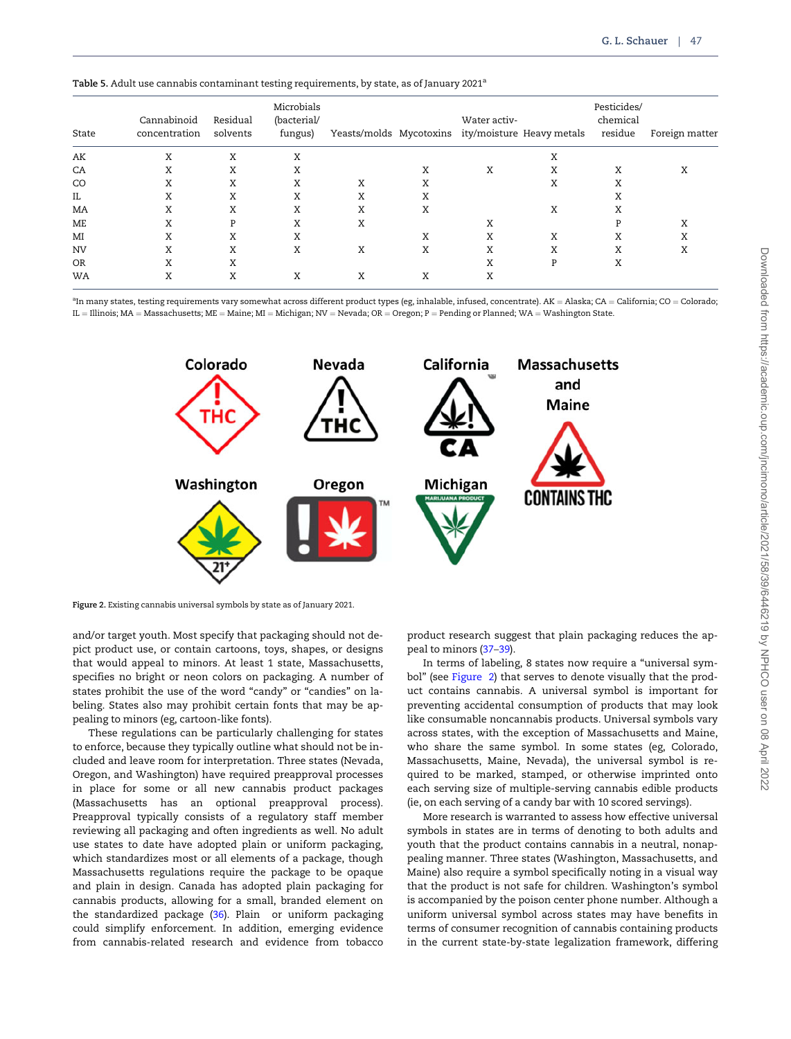<span id="page-8-0"></span>

| State     | Cannabinoid<br>concentration | Residual<br>solvents | Microbials<br>(bacterial/<br>fungus) |   |   | Water activ- | Yeasts/molds Mycotoxins ity/moisture Heavy metals | Pesticides/<br>chemical<br>residue | Foreign matter |
|-----------|------------------------------|----------------------|--------------------------------------|---|---|--------------|---------------------------------------------------|------------------------------------|----------------|
| AK        | X                            | X                    | X                                    |   |   |              | Χ                                                 |                                    |                |
| CA        | Χ                            | Χ                    | X                                    |   | X | Χ            | Χ                                                 | Χ                                  | X              |
| CO        | Χ                            | Χ                    | Χ                                    | X | Χ |              | Χ                                                 | X                                  |                |
| IL        | Χ                            | X                    | X                                    | X | X |              |                                                   | A                                  |                |
| MA        | Χ                            | X                    | X                                    | X | X |              | Χ                                                 | X                                  |                |
| ME        | Χ                            | P                    | X                                    | X |   | Χ            |                                                   | D                                  | Χ              |
| MI        | Χ                            | X                    | X                                    |   | X | Χ            | Χ                                                 | Χ                                  | X              |
| <b>NV</b> | Χ                            | Χ                    | Χ                                    | X | Χ | Χ            | Χ                                                 | Χ                                  | Χ              |
| <b>OR</b> | Χ                            | Χ                    |                                      |   |   | Χ            | P                                                 | Χ                                  |                |
| WA        | Χ                            | X                    | X                                    | X | X | Χ            |                                                   |                                    |                |

 $^{\rm a}$ In many states, testing requirements vary somewhat across different product types (eg, inhalable, infused, concentrate). AK  $=$  Alaska; CA  $=$  California; CO  $=$  Colorado; IL = Illinois; MA = Massachusetts; ME = Maine; MI = Michigan; NV = Nevada; OR = Oregon; P = Pending or Planned; WA = Washington State.



Figure 2. Existing cannabis universal symbols by state as of January 2021.

and/or target youth. Most specify that packaging should not depict product use, or contain cartoons, toys, shapes, or designs that would appeal to minors. At least 1 state, Massachusetts, specifies no bright or neon colors on packaging. A number of states prohibit the use of the word "candy" or "candies" on labeling. States also may prohibit certain fonts that may be appealing to minors (eg, cartoon-like fonts).

These regulations can be particularly challenging for states to enforce, because they typically outline what should not be included and leave room for interpretation. Three states (Nevada, Oregon, and Washington) have required preapproval processes in place for some or all new cannabis product packages (Massachusetts has an optional preapproval process). Preapproval typically consists of a regulatory staff member reviewing all packaging and often ingredients as well. No adult use states to date have adopted plain or uniform packaging, which standardizes most or all elements of a package, though Massachusetts regulations require the package to be opaque and plain in design. Canada has adopted plain packaging for cannabis products, allowing for a small, branded element on the standardized package [\(36\)](#page-13-0). Plain or uniform packaging could simplify enforcement. In addition, emerging evidence from cannabis-related research and evidence from tobacco

product research suggest that plain packaging reduces the appeal to minors ([37–39\)](#page-13-0).

In terms of labeling, 8 states now require a "universal symbol" (see Figure 2) that serves to denote visually that the product contains cannabis. A universal symbol is important for preventing accidental consumption of products that may look like consumable noncannabis products. Universal symbols vary across states, with the exception of Massachusetts and Maine, who share the same symbol. In some states (eg, Colorado, Massachusetts, Maine, Nevada), the universal symbol is required to be marked, stamped, or otherwise imprinted onto each serving size of multiple-serving cannabis edible products (ie, on each serving of a candy bar with 10 scored servings).

More research is warranted to assess how effective universal symbols in states are in terms of denoting to both adults and youth that the product contains cannabis in a neutral, nonappealing manner. Three states (Washington, Massachusetts, and Maine) also require a symbol specifically noting in a visual way that the product is not safe for children. Washington's symbol is accompanied by the poison center phone number. Although a uniform universal symbol across states may have benefits in terms of consumer recognition of cannabis containing products in the current state-by-state legalization framework, differing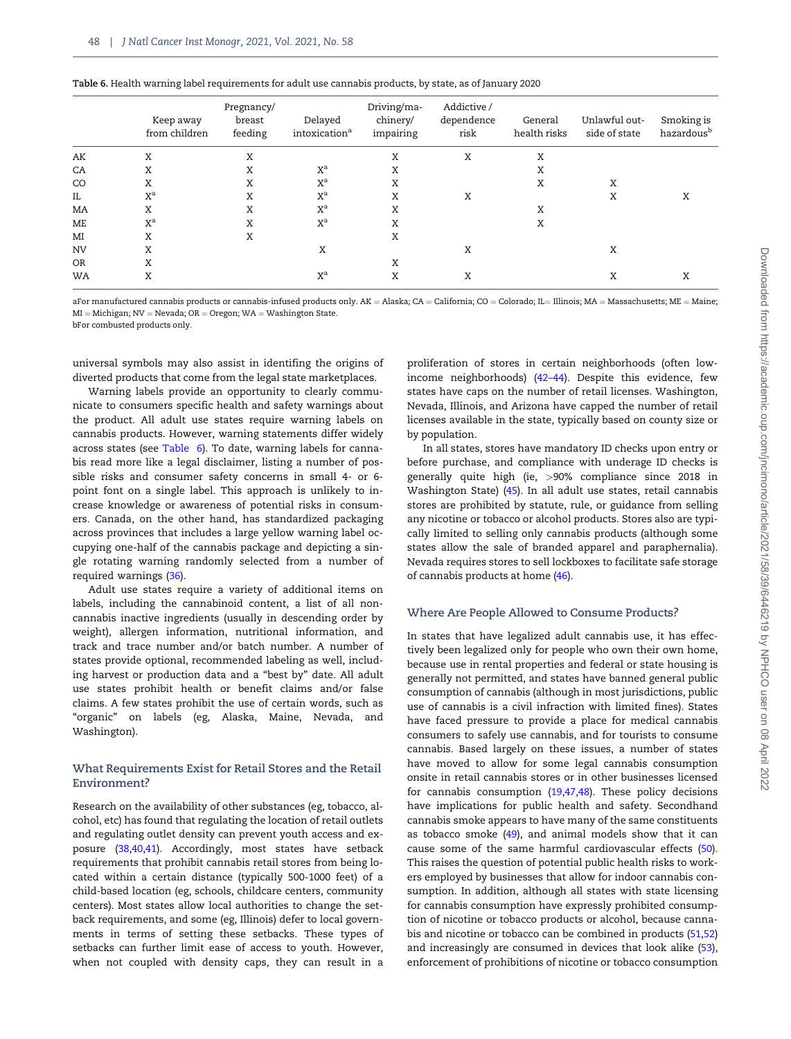|           | Keep away<br>from children | Pregnancy/<br>breast<br>feeding | Delayed<br>intoxication <sup>a</sup> | Driving/ma-<br>chinery/<br>impairing | Addictive/<br>dependence<br>risk | General<br>health risks | Unlawful out-<br>side of state | Smoking is<br>hazardous <sup>b</sup> |
|-----------|----------------------------|---------------------------------|--------------------------------------|--------------------------------------|----------------------------------|-------------------------|--------------------------------|--------------------------------------|
| AK        | Χ                          | X                               |                                      | Χ                                    | X                                | Χ                       |                                |                                      |
| CA        | Χ                          | X                               | $X^a$                                | Χ                                    |                                  | X                       |                                |                                      |
| CO        | Χ                          | Χ                               | $X^a$                                | Χ                                    |                                  | Χ                       | Χ                              |                                      |
| IL.       | $X^a$                      | X                               | $X^a$                                | X                                    | Χ                                |                         | Χ                              | Χ                                    |
| MA        | Χ                          | Χ                               | $X^a$                                | Χ                                    |                                  | X                       |                                |                                      |
| ME        | $X^a$                      | Χ                               | $X^a$                                | X                                    |                                  | Χ                       |                                |                                      |
| MI        | X                          | X                               |                                      | Χ                                    |                                  |                         |                                |                                      |
| <b>NV</b> | Χ                          |                                 | Χ                                    |                                      | Χ                                |                         | Χ                              |                                      |
| <b>OR</b> | Χ                          |                                 |                                      | X                                    |                                  |                         |                                |                                      |
| WA        | X                          |                                 | $\mathrm{X}^{\mathrm{a}}$            | Χ                                    | Χ                                |                         | Χ                              | Χ                                    |

| Table 6. Health warning label requirements for adult use cannabis products, by state, as of January 2020 |  |  |  |
|----------------------------------------------------------------------------------------------------------|--|--|--|
|----------------------------------------------------------------------------------------------------------|--|--|--|

aFor manufactured cannabis products or cannabis-infused products only. AK = Alaska; CA = California; CO = Colorado; IL= Illinois; MA = Massachusetts; ME = Maine;  $MI = Michigan; NV = Nevada; OR = Oregon; WA = Washington State.$ 

bFor combusted products only.

universal symbols may also assist in identifing the origins of diverted products that come from the legal state marketplaces.

Warning labels provide an opportunity to clearly communicate to consumers specific health and safety warnings about the product. All adult use states require warning labels on cannabis products. However, warning statements differ widely across states (see Table 6). To date, warning labels for cannabis read more like a legal disclaimer, listing a number of possible risks and consumer safety concerns in small 4- or 6 point font on a single label. This approach is unlikely to increase knowledge or awareness of potential risks in consumers. Canada, on the other hand, has standardized packaging across provinces that includes a large yellow warning label occupying one-half of the cannabis package and depicting a single rotating warning randomly selected from a number of required warnings ([36\)](#page-13-0).

Adult use states require a variety of additional items on labels, including the cannabinoid content, a list of all noncannabis inactive ingredients (usually in descending order by weight), allergen information, nutritional information, and track and trace number and/or batch number. A number of states provide optional, recommended labeling as well, including harvest or production data and a "best by" date. All adult use states prohibit health or benefit claims and/or false claims. A few states prohibit the use of certain words, such as "organic" on labels (eg, Alaska, Maine, Nevada, and Washington).

## What Requirements Exist for Retail Stores and the Retail Environment?

Research on the availability of other substances (eg, tobacco, alcohol, etc) has found that regulating the location of retail outlets and regulating outlet density can prevent youth access and exposure ([38,40,41\)](#page-13-0). Accordingly, most states have setback requirements that prohibit cannabis retail stores from being located within a certain distance (typically 500-1000 feet) of a child-based location (eg, schools, childcare centers, community centers). Most states allow local authorities to change the setback requirements, and some (eg, Illinois) defer to local governments in terms of setting these setbacks. These types of setbacks can further limit ease of access to youth. However, when not coupled with density caps, they can result in a

proliferation of stores in certain neighborhoods (often lowincome neighborhoods) ([42–44\)](#page-13-0). Despite this evidence, few states have caps on the number of retail licenses. Washington, Nevada, Illinois, and Arizona have capped the number of retail licenses available in the state, typically based on county size or by population.

In all states, stores have mandatory ID checks upon entry or before purchase, and compliance with underage ID checks is generally quite high (ie, >90% compliance since 2018 in Washington State) [\(45\)](#page-13-0). In all adult use states, retail cannabis stores are prohibited by statute, rule, or guidance from selling any nicotine or tobacco or alcohol products. Stores also are typically limited to selling only cannabis products (although some states allow the sale of branded apparel and paraphernalia). Nevada requires stores to sell lockboxes to facilitate safe storage of cannabis products at home [\(46](#page-13-0)).

## Where Are People Allowed to Consume Products?

In states that have legalized adult cannabis use, it has effectively been legalized only for people who own their own home, because use in rental properties and federal or state housing is generally not permitted, and states have banned general public consumption of cannabis (although in most jurisdictions, public use of cannabis is a civil infraction with limited fines). States have faced pressure to provide a place for medical cannabis consumers to safely use cannabis, and for tourists to consume cannabis. Based largely on these issues, a number of states have moved to allow for some legal cannabis consumption onsite in retail cannabis stores or in other businesses licensed for cannabis consumption [\(19](#page-12-0)[,47,48\)](#page-13-0). These policy decisions have implications for public health and safety. Secondhand cannabis smoke appears to have many of the same constituents as tobacco smoke [\(49](#page-13-0)), and animal models show that it can cause some of the same harmful cardiovascular effects ([50](#page-13-0)). This raises the question of potential public health risks to workers employed by businesses that allow for indoor cannabis consumption. In addition, although all states with state licensing for cannabis consumption have expressly prohibited consumption of nicotine or tobacco products or alcohol, because cannabis and nicotine or tobacco can be combined in products ([51,52](#page-13-0)) and increasingly are consumed in devices that look alike ([53](#page-13-0)), enforcement of prohibitions of nicotine or tobacco consumption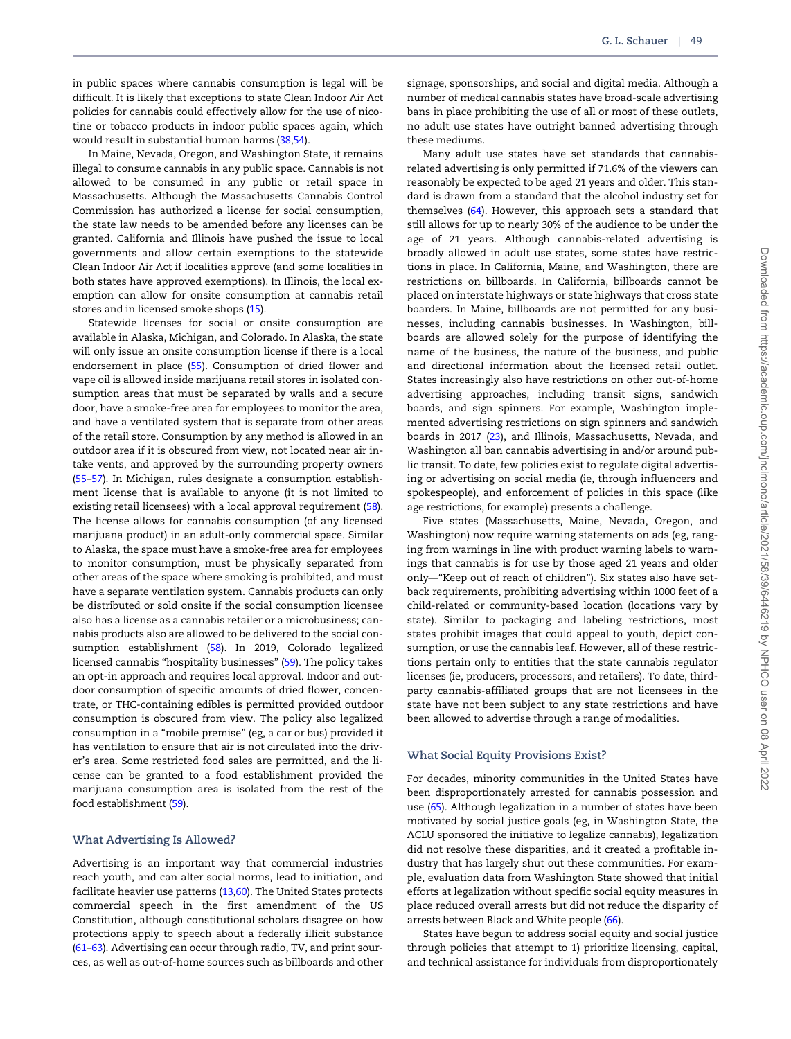in public spaces where cannabis consumption is legal will be difficult. It is likely that exceptions to state Clean Indoor Air Act policies for cannabis could effectively allow for the use of nicotine or tobacco products in indoor public spaces again, which would result in substantial human harms ([38,54](#page-13-0)).

In Maine, Nevada, Oregon, and Washington State, it remains illegal to consume cannabis in any public space. Cannabis is not allowed to be consumed in any public or retail space in Massachusetts. Although the Massachusetts Cannabis Control Commission has authorized a license for social consumption, the state law needs to be amended before any licenses can be granted. California and Illinois have pushed the issue to local governments and allow certain exemptions to the statewide Clean Indoor Air Act if localities approve (and some localities in both states have approved exemptions). In Illinois, the local exemption can allow for onsite consumption at cannabis retail stores and in licensed smoke shops ([15](#page-12-0)).

Statewide licenses for social or onsite consumption are available in Alaska, Michigan, and Colorado. In Alaska, the state will only issue an onsite consumption license if there is a local endorsement in place ([55](#page-13-0)). Consumption of dried flower and vape oil is allowed inside marijuana retail stores in isolated consumption areas that must be separated by walls and a secure door, have a smoke-free area for employees to monitor the area, and have a ventilated system that is separate from other areas of the retail store. Consumption by any method is allowed in an outdoor area if it is obscured from view, not located near air intake vents, and approved by the surrounding property owners ([55–57](#page-13-0)). In Michigan, rules designate a consumption establishment license that is available to anyone (it is not limited to existing retail licensees) with a local approval requirement ([58](#page-13-0)). The license allows for cannabis consumption (of any licensed marijuana product) in an adult-only commercial space. Similar to Alaska, the space must have a smoke-free area for employees to monitor consumption, must be physically separated from other areas of the space where smoking is prohibited, and must have a separate ventilation system. Cannabis products can only be distributed or sold onsite if the social consumption licensee also has a license as a cannabis retailer or a microbusiness; cannabis products also are allowed to be delivered to the social consumption establishment [\(58](#page-13-0)). In 2019, Colorado legalized licensed cannabis "hospitality businesses" [\(59](#page-13-0)). The policy takes an opt-in approach and requires local approval. Indoor and outdoor consumption of specific amounts of dried flower, concentrate, or THC-containing edibles is permitted provided outdoor consumption is obscured from view. The policy also legalized consumption in a "mobile premise" (eg, a car or bus) provided it has ventilation to ensure that air is not circulated into the driver's area. Some restricted food sales are permitted, and the license can be granted to a food establishment provided the marijuana consumption area is isolated from the rest of the food establishment ([59\)](#page-13-0).

#### What Advertising Is Allowed?

Advertising is an important way that commercial industries reach youth, and can alter social norms, lead to initiation, and facilitate heavier use patterns [\(13,](#page-12-0)[60\)](#page-13-0). The United States protects commercial speech in the first amendment of the US Constitution, although constitutional scholars disagree on how protections apply to speech about a federally illicit substance ([61–63](#page-13-0)). Advertising can occur through radio, TV, and print sources, as well as out-of-home sources such as billboards and other signage, sponsorships, and social and digital media. Although a number of medical cannabis states have broad-scale advertising bans in place prohibiting the use of all or most of these outlets, no adult use states have outright banned advertising through these mediums.

Many adult use states have set standards that cannabisrelated advertising is only permitted if 71.6% of the viewers can reasonably be expected to be aged 21 years and older. This standard is drawn from a standard that the alcohol industry set for themselves [\(64\)](#page-13-0). However, this approach sets a standard that still allows for up to nearly 30% of the audience to be under the age of 21 years. Although cannabis-related advertising is broadly allowed in adult use states, some states have restrictions in place. In California, Maine, and Washington, there are restrictions on billboards. In California, billboards cannot be placed on interstate highways or state highways that cross state boarders. In Maine, billboards are not permitted for any businesses, including cannabis businesses. In Washington, billboards are allowed solely for the purpose of identifying the name of the business, the nature of the business, and public and directional information about the licensed retail outlet. States increasingly also have restrictions on other out-of-home advertising approaches, including transit signs, sandwich boards, and sign spinners. For example, Washington implemented advertising restrictions on sign spinners and sandwich boards in 2017 ([23\)](#page-12-0), and Illinois, Massachusetts, Nevada, and Washington all ban cannabis advertising in and/or around public transit. To date, few policies exist to regulate digital advertising or advertising on social media (ie, through influencers and spokespeople), and enforcement of policies in this space (like age restrictions, for example) presents a challenge.

Five states (Massachusetts, Maine, Nevada, Oregon, and Washington) now require warning statements on ads (eg, ranging from warnings in line with product warning labels to warnings that cannabis is for use by those aged 21 years and older only—"Keep out of reach of children"). Six states also have setback requirements, prohibiting advertising within 1000 feet of a child-related or community-based location (locations vary by state). Similar to packaging and labeling restrictions, most states prohibit images that could appeal to youth, depict consumption, or use the cannabis leaf. However, all of these restrictions pertain only to entities that the state cannabis regulator licenses (ie, producers, processors, and retailers). To date, thirdparty cannabis-affiliated groups that are not licensees in the state have not been subject to any state restrictions and have been allowed to advertise through a range of modalities.

# What Social Equity Provisions Exist?

For decades, minority communities in the United States have been disproportionately arrested for cannabis possession and use [\(65](#page-13-0)). Although legalization in a number of states have been motivated by social justice goals (eg, in Washington State, the ACLU sponsored the initiative to legalize cannabis), legalization did not resolve these disparities, and it created a profitable industry that has largely shut out these communities. For example, evaluation data from Washington State showed that initial efforts at legalization without specific social equity measures in place reduced overall arrests but did not reduce the disparity of arrests between Black and White people ([66](#page-13-0)).

States have begun to address social equity and social justice through policies that attempt to 1) prioritize licensing, capital, and technical assistance for individuals from disproportionately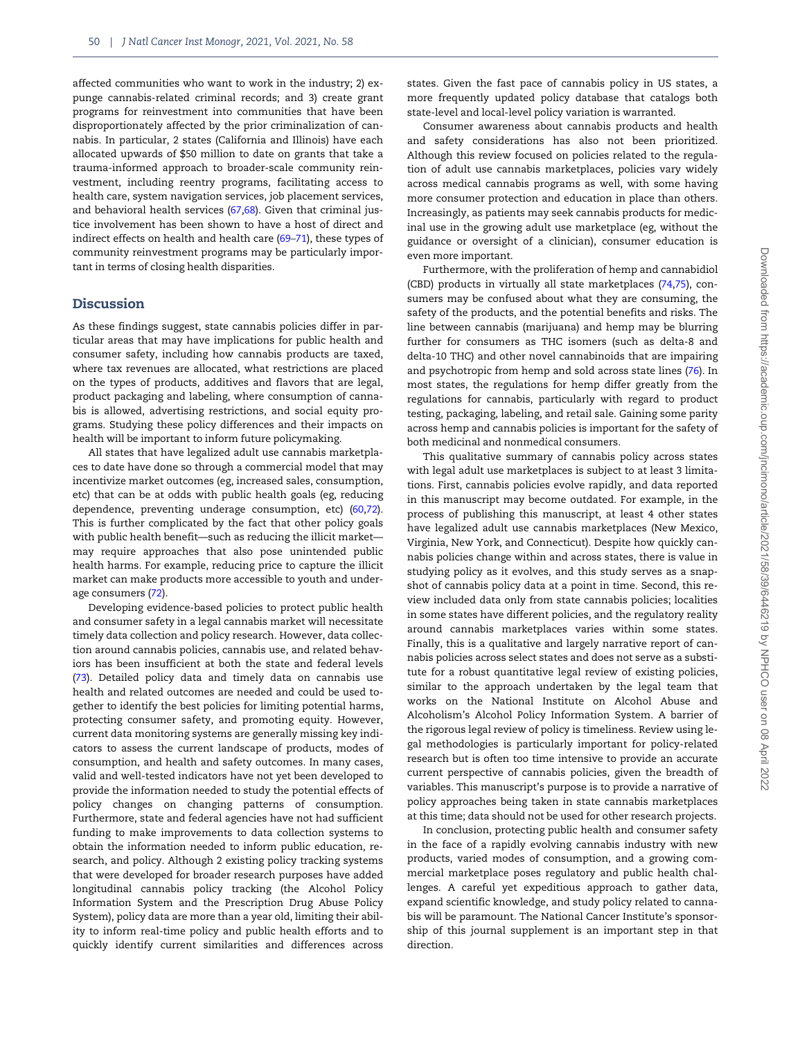affected communities who want to work in the industry; 2) expunge cannabis-related criminal records; and 3) create grant programs for reinvestment into communities that have been disproportionately affected by the prior criminalization of cannabis. In particular, 2 states (California and Illinois) have each allocated upwards of \$50 million to date on grants that take a trauma-informed approach to broader-scale community reinvestment, including reentry programs, facilitating access to health care, system navigation services, job placement services, and behavioral health services ([67,68](#page-13-0)). Given that criminal justice involvement has been shown to have a host of direct and indirect effects on health and health care ([69–71](#page-13-0)), these types of community reinvestment programs may be particularly important in terms of closing health disparities.

## **Discussion**

As these findings suggest, state cannabis policies differ in particular areas that may have implications for public health and consumer safety, including how cannabis products are taxed, where tax revenues are allocated, what restrictions are placed on the types of products, additives and flavors that are legal, product packaging and labeling, where consumption of cannabis is allowed, advertising restrictions, and social equity programs. Studying these policy differences and their impacts on health will be important to inform future policymaking.

All states that have legalized adult use cannabis marketplaces to date have done so through a commercial model that may incentivize market outcomes (eg, increased sales, consumption, etc) that can be at odds with public health goals (eg, reducing dependence, preventing underage consumption, etc) ([60,72](#page-13-0)). This is further complicated by the fact that other policy goals with public health benefit—such as reducing the illicit market may require approaches that also pose unintended public health harms. For example, reducing price to capture the illicit market can make products more accessible to youth and underage consumers ([72](#page-13-0)).

Developing evidence-based policies to protect public health and consumer safety in a legal cannabis market will necessitate timely data collection and policy research. However, data collection around cannabis policies, cannabis use, and related behaviors has been insufficient at both the state and federal levels ([73](#page-13-0)). Detailed policy data and timely data on cannabis use health and related outcomes are needed and could be used together to identify the best policies for limiting potential harms, protecting consumer safety, and promoting equity. However, current data monitoring systems are generally missing key indicators to assess the current landscape of products, modes of consumption, and health and safety outcomes. In many cases, valid and well-tested indicators have not yet been developed to provide the information needed to study the potential effects of policy changes on changing patterns of consumption. Furthermore, state and federal agencies have not had sufficient funding to make improvements to data collection systems to obtain the information needed to inform public education, research, and policy. Although 2 existing policy tracking systems that were developed for broader research purposes have added longitudinal cannabis policy tracking (the Alcohol Policy Information System and the Prescription Drug Abuse Policy System), policy data are more than a year old, limiting their ability to inform real-time policy and public health efforts and to quickly identify current similarities and differences across

states. Given the fast pace of cannabis policy in US states, a more frequently updated policy database that catalogs both state-level and local-level policy variation is warranted.

Consumer awareness about cannabis products and health and safety considerations has also not been prioritized. Although this review focused on policies related to the regulation of adult use cannabis marketplaces, policies vary widely across medical cannabis programs as well, with some having more consumer protection and education in place than others. Increasingly, as patients may seek cannabis products for medicinal use in the growing adult use marketplace (eg, without the guidance or oversight of a clinician), consumer education is even more important.

Furthermore, with the proliferation of hemp and cannabidiol (CBD) products in virtually all state marketplaces [\(74,75\)](#page-13-0), consumers may be confused about what they are consuming, the safety of the products, and the potential benefits and risks. The line between cannabis (marijuana) and hemp may be blurring further for consumers as THC isomers (such as delta-8 and delta-10 THC) and other novel cannabinoids that are impairing and psychotropic from hemp and sold across state lines [\(76](#page-13-0)). In most states, the regulations for hemp differ greatly from the regulations for cannabis, particularly with regard to product testing, packaging, labeling, and retail sale. Gaining some parity across hemp and cannabis policies is important for the safety of both medicinal and nonmedical consumers.

This qualitative summary of cannabis policy across states with legal adult use marketplaces is subject to at least 3 limitations. First, cannabis policies evolve rapidly, and data reported in this manuscript may become outdated. For example, in the process of publishing this manuscript, at least 4 other states have legalized adult use cannabis marketplaces (New Mexico, Virginia, New York, and Connecticut). Despite how quickly cannabis policies change within and across states, there is value in studying policy as it evolves, and this study serves as a snapshot of cannabis policy data at a point in time. Second, this review included data only from state cannabis policies; localities in some states have different policies, and the regulatory reality around cannabis marketplaces varies within some states. Finally, this is a qualitative and largely narrative report of cannabis policies across select states and does not serve as a substitute for a robust quantitative legal review of existing policies, similar to the approach undertaken by the legal team that works on the National Institute on Alcohol Abuse and Alcoholism's Alcohol Policy Information System. A barrier of the rigorous legal review of policy is timeliness. Review using legal methodologies is particularly important for policy-related research but is often too time intensive to provide an accurate current perspective of cannabis policies, given the breadth of variables. This manuscript's purpose is to provide a narrative of policy approaches being taken in state cannabis marketplaces at this time; data should not be used for other research projects.

In conclusion, protecting public health and consumer safety in the face of a rapidly evolving cannabis industry with new products, varied modes of consumption, and a growing commercial marketplace poses regulatory and public health challenges. A careful yet expeditious approach to gather data, expand scientific knowledge, and study policy related to cannabis will be paramount. The National Cancer Institute's sponsorship of this journal supplement is an important step in that direction.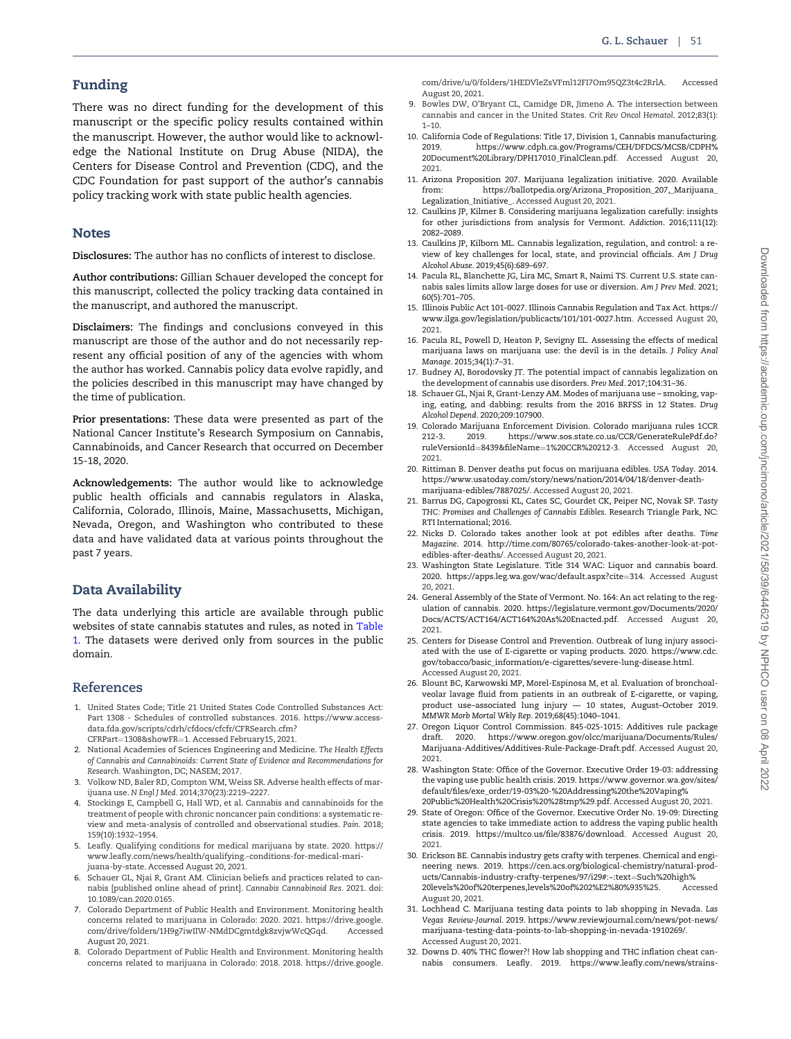# <span id="page-12-0"></span>Funding

There was no direct funding for the development of this manuscript or the specific policy results contained within the manuscript. However, the author would like to acknowledge the National Institute on Drug Abuse (NIDA), the Centers for Disease Control and Prevention (CDC), and the CDC Foundation for past support of the author's cannabis policy tracking work with state public health agencies.

# Notes

Disclosures: The author has no conflicts of interest to disclose.

Author contributions: Gillian Schauer developed the concept for this manuscript, collected the policy tracking data contained in the manuscript, and authored the manuscript.

Disclaimers: The findings and conclusions conveyed in this manuscript are those of the author and do not necessarily represent any official position of any of the agencies with whom the author has worked. Cannabis policy data evolve rapidly, and the policies described in this manuscript may have changed by the time of publication.

Prior presentations: These data were presented as part of the National Cancer Institute's Research Symposium on Cannabis, Cannabinoids, and Cancer Research that occurred on December 15-18, 2020.

Acknowledgements: The author would like to acknowledge public health officials and cannabis regulators in Alaska, California, Colorado, Illinois, Maine, Massachusetts, Michigan, Nevada, Oregon, and Washington who contributed to these data and have validated data at various points throughout the past 7 years.

# Data Availability

The data underlying this article are available through public websites of state cannabis statutes and rules, as noted in [Table](#page-2-0) [1.](#page-2-0) The datasets were derived only from sources in the public domain.

# References

- 1. United States Code; Title 21 United States Code Controlled Substances Act: Part 1308 - Schedules of controlled substances. 2016. [https://www.access](https://www.accessdata.fda.gov/scripts/cdrh/cfdocs/cfcfr/CFRSearch.cfm?CFRPart=1308&hx0026;showFR=1)[data.fda.gov/scripts/cdrh/cfdocs/cfcfr/CFRSearch.cfm?](https://www.accessdata.fda.gov/scripts/cdrh/cfdocs/cfcfr/CFRSearch.cfm?CFRPart=1308&hx0026;showFR=1) [CFRPart](https://www.accessdata.fda.gov/scripts/cdrh/cfdocs/cfcfr/CFRSearch.cfm?CFRPart=1308&hx0026;showFR=1)=[1308&showFR](https://www.accessdata.fda.gov/scripts/cdrh/cfdocs/cfcfr/CFRSearch.cfm?CFRPart=1308&hx0026;showFR=1)=[1](https://www.accessdata.fda.gov/scripts/cdrh/cfdocs/cfcfr/CFRSearch.cfm?CFRPart=1308&hx0026;showFR=1). Accessed February15, 2021.
- 2. National Academies of Sciences Engineering and Medicine. The Health Effects of Cannabis and Cannabinoids: Current State of Evidence and Recommendations for Research. Washington, DC; NASEM; 2017.
- 3. Volkow ND, Baler RD, Compton WM, Weiss SR. Adverse health effects of marijuana use. N Engl J Med. 2014;370(23):2219–2227.
- 4. Stockings E, Campbell G, Hall WD, et al. Cannabis and cannabinoids for the treatment of people with chronic noncancer pain conditions: a systematic review and meta-analysis of controlled and observational studies. Pain. 2018; 159(10):1932–1954.
- 5. Leafly. Qualifying conditions for medical marijuana by state. 2020. [https://](https://www.leafly.com/news/health/qualifying.-conditions-for-medical-marijuana-by-state) [www.leafly.com/news/health/qualifying.-conditions-for-medical-mari](https://www.leafly.com/news/health/qualifying.-conditions-for-medical-marijuana-by-state)[juana-by-state.](https://www.leafly.com/news/health/qualifying.-conditions-for-medical-marijuana-by-state) Accessed August 20, 2021.
- 6. Schauer GL, Njai R, Grant AM. Clinician beliefs and practices related to cannabis [published online ahead of print]. Cannabis Cannabinoid Res. 2021. doi: 10.1089/can.2020.0165.
- 7. Colorado Department of Public Health and Environment. Monitoring health concerns related to marijuana in Colorado: 2020. 2021. [https://drive.google.](https://drive.google.com/drive/folders/1H9g7iwIIW-NMdDCgmtdgk8zvjwWcQGqd) [com/drive/folders/1H9g7iwIIW-NMdDCgmtdgk8zvjwWcQGqd](https://drive.google.com/drive/folders/1H9g7iwIIW-NMdDCgmtdgk8zvjwWcQGqd). Accessed August 20, 2021.
- 8. Colorado Department of Public Health and Environment. Monitoring health concerns related to marijuana in Colorado: 2018. 2018. [https://drive.google.](https://drive.google.com/drive/u/0/folders/1HEDVleZsVFml12FI7Om95QZ3t4c2RrlA)

[com/drive/u/0/folders/1HEDVleZsVFml12FI7Om95QZ3t4c2RrlA](https://drive.google.com/drive/u/0/folders/1HEDVleZsVFml12FI7Om95QZ3t4c2RrlA). August 20, 2021.

- 9. Bowles DW, O'Bryant CL, Camidge DR, Jimeno A. The intersection between cannabis and cancer in the United States. Crit Rev Oncol Hematol. 2012;83(1):  $1 - 10$
- 10. California Code of Regulations: Title 17, Division 1, Cannabis manufacturing. 2019. [https://www.cdph.ca.gov/Programs/CEH/DFDCS/MCSB/CDPH%](https://www.cdph.ca.gov/Programs/CEH/DFDCS/MCSB/CDPH%20Document%20Library/DPH17010_FinalClean.pdf) [20Document%20Library/DPH17010\\_FinalClean.pdf.](https://www.cdph.ca.gov/Programs/CEH/DFDCS/MCSB/CDPH%20Document%20Library/DPH17010_FinalClean.pdf) Accessed August 20, 2021.
- 11. Arizona Proposition 207. Marijuana legalization initiative. 2020. Available from: [https://ballotpedia.org/Arizona\\_Proposition\\_207,\\_Marijuana\\_](https://ballotpedia.org/Arizona_Proposition_207,_Marijuana_Legalization_Initiative_) [Legalization\\_Initiative\\_.](https://ballotpedia.org/Arizona_Proposition_207,_Marijuana_Legalization_Initiative_) Accessed August 20, 2021.
- 12. Caulkins JP, Kilmer B. Considering marijuana legalization carefully: insights for other jurisdictions from analysis for Vermont. Addiction. 2016;111(12): 2082–2089.
- 13. Caulkins JP, Kilborn ML. Cannabis legalization, regulation, and control: a review of key challenges for local, state, and provincial officials. Am J Drug Alcohol Abuse. 2019;45(6):689–697.
- 14. Pacula RL, Blanchette JG, Lira MC, Smart R, Naimi TS. Current U.S. state cannabis sales limits allow large doses for use or diversion. Am J Prev Med. 2021; 60(5):701–705.
- 15. Illinois Public Act 101-0027. Illinois Cannabis Regulation and Tax Act. [https://](https://www.ilga.gov/legislation/publicacts/101/101-0027.htm) [www.ilga.gov/legislation/publicacts/101/101-0027.htm.](https://www.ilga.gov/legislation/publicacts/101/101-0027.htm) Accessed August 20, 2021.
- 16. Pacula RL, Powell D, Heaton P, Sevigny EL. Assessing the effects of medical marijuana laws on marijuana use: the devil is in the details. J Policy Anal Manage. 2015;34(1):7–31.
- 17. Budney AJ, Borodovsky JT. The potential impact of cannabis legalization on the development of cannabis use disorders. Prev Med. 2017;104:31–36.
- 18. Schauer GL, Njai R, Grant-Lenzy AM. Modes of marijuana use smoking, vaping, eating, and dabbing: results from the 2016 BRFSS in 12 States. Drug Alcohol Depend. 2020;209:107900.
- 19. Colorado Marijuana Enforcement Division. Colorado marijuana rules 1CCR 2019. [https://www.sos.state.co.us/CCR/GenerateRulePdf.do?](https://www.sos.state.co.us/CCR/GenerateRulePdf.do?ruleVersionId=8439&hx0026;fileName=1%20CCR%20212-3) [ruleVersionId](https://www.sos.state.co.us/CCR/GenerateRulePdf.do?ruleVersionId=8439&hx0026;fileName=1%20CCR%20212-3)¼[8439&fileName](https://www.sos.state.co.us/CCR/GenerateRulePdf.do?ruleVersionId=8439&hx0026;fileName=1%20CCR%20212-3)¼[1%20CCR%20212-3](https://www.sos.state.co.us/CCR/GenerateRulePdf.do?ruleVersionId=8439&hx0026;fileName=1%20CCR%20212-3). Accessed August 20, 2021.
- 20. Rittiman B. Denver deaths put focus on marijuana edibles. USA Today. 2014. [https://www.usatoday.com/story/news/nation/2014/04/18/denver-death](https://www.usatoday.com/story/news/nation/2014/04/18/denver-death-marijuana-edibles/7887025/)[marijuana-edibles/7887025/.](https://www.usatoday.com/story/news/nation/2014/04/18/denver-death-marijuana-edibles/7887025/) Accessed August 20, 2021.
- 21. Barrus DG, Capogrossi KL, Cates SC, Gourdet CK, Peiper NC, Novak SP. Tasty THC: Promises and Challenges of Cannabis Edibles. Research Triangle Park, NC: RTI International; 2016.
- 22. Nicks D. Colorado takes another look at pot edibles after deaths. Time Magazine. 2014. [http://time.com/80765/colorado-takes-another-look-at-pot](http://time.com/80765/colorado-takes-another-look-at-pot-edibles-after-deaths/)[edibles-after-deaths/](http://time.com/80765/colorado-takes-another-look-at-pot-edibles-after-deaths/). Accessed August 20, 2021.
- 23. Washington State Legislature. Title 314 WAC: Liquor and cannabis board. 2020. [https://apps.leg.wa.gov/wac/default.aspx?cite](https://apps.leg.wa.gov/wac/default.aspx?cite=314)=[314](https://apps.leg.wa.gov/wac/default.aspx?cite=314). Accessed August 20, 2021.
- 24. General Assembly of the State of Vermont. No. 164: An act relating to the regulation of cannabis. 2020. [https://legislature.vermont.gov/Documents/2020/](https://legislature.vermont.gov/Documents/2020/Docs/ACTS/ACT164/ACT164%20As%20Enacted.pdf) [Docs/ACTS/ACT164/ACT164%20As%20Enacted.pdf](https://legislature.vermont.gov/Documents/2020/Docs/ACTS/ACT164/ACT164%20As%20Enacted.pdf). Accessed August 20, 2021.
- 25. Centers for Disease Control and Prevention. Outbreak of lung injury associated with the use of E-cigarette or vaping products. 2020. [https://www.cdc.](https://www.cdc.gov/tobacco/basic_information/e-cigarettes/severe-lung-disease.html) [gov/tobacco/basic\\_information/e-cigarettes/severe-lung-disease.html.](https://www.cdc.gov/tobacco/basic_information/e-cigarettes/severe-lung-disease.html) Accessed August 20, 2021.
- 26. Blount BC, Karwowski MP, Morel-Espinosa M, et al. Evaluation of bronchoalveolar lavage fluid from patients in an outbreak of E-cigarette, or vaping, product use–associated lung injury — 10 states, August–October 2019. MMWR Morb Mortal Wkly Rep. 2019;68(45):1040–1041.
- 27. Oregon Liquor Control Commission. 845-025-1015: Additives rule package draft. 2020. [https://www.oregon.gov/olcc/marijuana/Documents/Rules/](https://www.oregon.gov/olcc/marijuana/Documents/Rules/Marijuana-Additives/Additives-Rule-Package-Draft.pdf) [Marijuana-Additives/Additives-Rule-Package-Draft.pdf.](https://www.oregon.gov/olcc/marijuana/Documents/Rules/Marijuana-Additives/Additives-Rule-Package-Draft.pdf) Accessed August 20, 2021.
- 28. Washington State: Office of the Governor. Executive Order 19-03: addressing the vaping use public health crisis. 2019. [https://www.governor.wa.gov/sites/](https://www.governor.wa.gov/sites/default/files/exe_order/19-03%20-%20Addressing%20the%20Vaping%20Public%20Health%20Crisis%20%28tmp%29.pdf) [default/files/exe\\_order/19-03%20-%20Addressing%20the%20Vaping%](https://www.governor.wa.gov/sites/default/files/exe_order/19-03%20-%20Addressing%20the%20Vaping%20Public%20Health%20Crisis%20%28tmp%29.pdf) [20Public%20Health%20Crisis%20%28tmp%29.pdf](https://www.governor.wa.gov/sites/default/files/exe_order/19-03%20-%20Addressing%20the%20Vaping%20Public%20Health%20Crisis%20%28tmp%29.pdf). Accessed August 20, 2021.
- 29. State of Oregon: Office of the Governor. Executive Order No. 19-09: Directing state agencies to take immediate action to address the vaping public health crisis. 2019. [https://multco.us/file/83876/download.](https://multco.us/file/83876/download) Accessed August 20, 2021.
- 30. Erickson BE. Cannabis industry gets crafty with terpenes. Chemical and engineering news. 2019. [https://cen.acs.org/biological-chemistry/natural-prod](https://cen.acs.org/biological-chemistry/natural-products/Cannabis-industry-crafty-terpenes/97/i29#:~:text=Such%20high%20levels%20of%20terpenes,levels%20of%202%E2%80%935%25)[ucts/Cannabis-industry-crafty-terpenes/97/i29#:~:text](https://cen.acs.org/biological-chemistry/natural-products/Cannabis-industry-crafty-terpenes/97/i29#:~:text=Such%20high%20levels%20of%20terpenes,levels%20of%202%E2%80%935%25)=[Such%20high%](https://cen.acs.org/biological-chemistry/natural-products/Cannabis-industry-crafty-terpenes/97/i29#:~:text=Such%20high%20levels%20of%20terpenes,levels%20of%202%E2%80%935%25) [20levels%20of%20terpenes,levels%20of%202%E2%80%935%25.](https://cen.acs.org/biological-chemistry/natural-products/Cannabis-industry-crafty-terpenes/97/i29#:~:text=Such%20high%20levels%20of%20terpenes,levels%20of%202%E2%80%935%25) Accessed August 20, 2021.
- 31. Lochhead C. Marijuana testing data points to lab shopping in Nevada. Las Vegas Review-Journal. 2019. [https://www.reviewjournal.com/news/pot-news/](https://www.reviewjournal.com/news/pot-news/marijuana-testing-data-points-to-lab-shopping-in-nevada-1910269/) [marijuana-testing-data-points-to-lab-shopping-in-nevada-1910269/](https://www.reviewjournal.com/news/pot-news/marijuana-testing-data-points-to-lab-shopping-in-nevada-1910269/). Accessed August 20, 2021.
- 32. Downs D. 40% THC flower?! How lab shopping and THC inflation cheat cannabis consumers. Leafly. 2019. [https://www.leafly.com/news/strains-](https://www.leafly.com/news/strains-products/lab-shopping-thc-inflation-marijuana-2019-leafly-review)